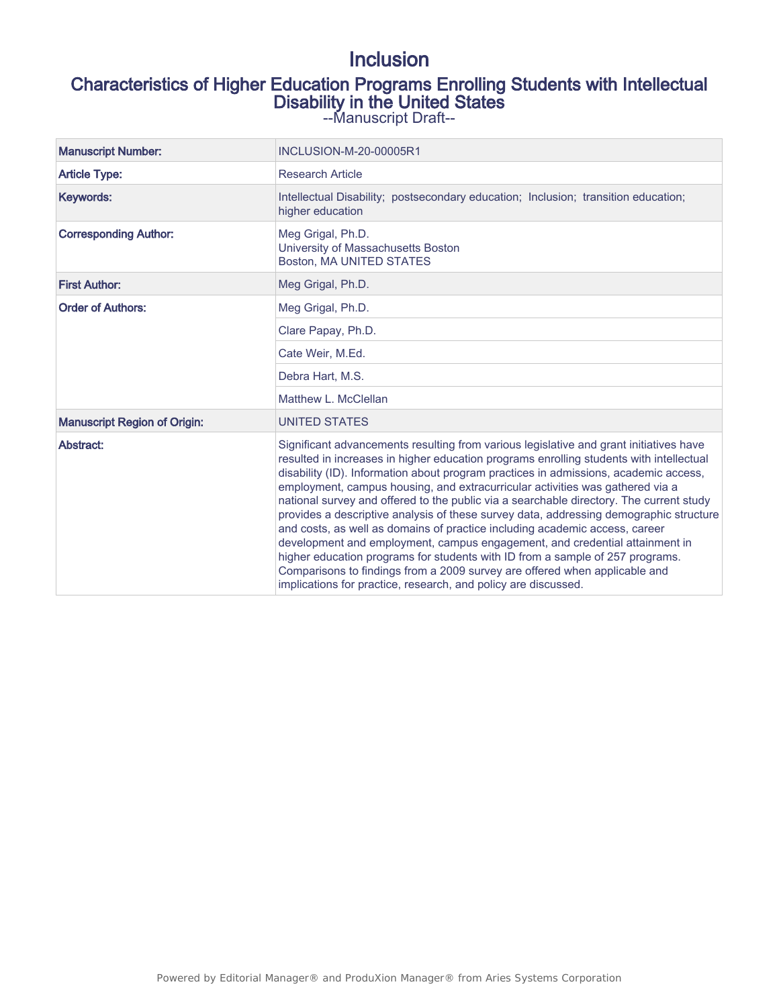# Inclusion

# Characteristics of Higher Education Programs Enrolling Students with Intellectual Disability in the United States

--Manuscript Draft--

| <b>Manuscript Number:</b>           | <b>INCLUSION-M-20-00005R1</b>                                                                                                                                                                                                                                                                                                                                                                                                                                                                                                                                                                                                                                                                                                                                                                                                                                                                                                                  |  |  |
|-------------------------------------|------------------------------------------------------------------------------------------------------------------------------------------------------------------------------------------------------------------------------------------------------------------------------------------------------------------------------------------------------------------------------------------------------------------------------------------------------------------------------------------------------------------------------------------------------------------------------------------------------------------------------------------------------------------------------------------------------------------------------------------------------------------------------------------------------------------------------------------------------------------------------------------------------------------------------------------------|--|--|
| <b>Article Type:</b>                | <b>Research Article</b>                                                                                                                                                                                                                                                                                                                                                                                                                                                                                                                                                                                                                                                                                                                                                                                                                                                                                                                        |  |  |
| Keywords:                           | Intellectual Disability; postsecondary education; Inclusion; transition education;<br>higher education                                                                                                                                                                                                                                                                                                                                                                                                                                                                                                                                                                                                                                                                                                                                                                                                                                         |  |  |
| <b>Corresponding Author:</b>        | Meg Grigal, Ph.D.<br>University of Massachusetts Boston<br>Boston, MA UNITED STATES                                                                                                                                                                                                                                                                                                                                                                                                                                                                                                                                                                                                                                                                                                                                                                                                                                                            |  |  |
| <b>First Author:</b>                | Meg Grigal, Ph.D.                                                                                                                                                                                                                                                                                                                                                                                                                                                                                                                                                                                                                                                                                                                                                                                                                                                                                                                              |  |  |
| <b>Order of Authors:</b>            | Meg Grigal, Ph.D.                                                                                                                                                                                                                                                                                                                                                                                                                                                                                                                                                                                                                                                                                                                                                                                                                                                                                                                              |  |  |
|                                     | Clare Papay, Ph.D.                                                                                                                                                                                                                                                                                                                                                                                                                                                                                                                                                                                                                                                                                                                                                                                                                                                                                                                             |  |  |
|                                     | Cate Weir, M.Ed.                                                                                                                                                                                                                                                                                                                                                                                                                                                                                                                                                                                                                                                                                                                                                                                                                                                                                                                               |  |  |
|                                     | Debra Hart, M.S.                                                                                                                                                                                                                                                                                                                                                                                                                                                                                                                                                                                                                                                                                                                                                                                                                                                                                                                               |  |  |
|                                     | Matthew L. McClellan                                                                                                                                                                                                                                                                                                                                                                                                                                                                                                                                                                                                                                                                                                                                                                                                                                                                                                                           |  |  |
| <b>Manuscript Region of Origin:</b> | <b>UNITED STATES</b>                                                                                                                                                                                                                                                                                                                                                                                                                                                                                                                                                                                                                                                                                                                                                                                                                                                                                                                           |  |  |
| Abstract:                           | Significant advancements resulting from various legislative and grant initiatives have<br>resulted in increases in higher education programs enrolling students with intellectual<br>disability (ID). Information about program practices in admissions, academic access,<br>employment, campus housing, and extracurricular activities was gathered via a<br>national survey and offered to the public via a searchable directory. The current study<br>provides a descriptive analysis of these survey data, addressing demographic structure<br>and costs, as well as domains of practice including academic access, career<br>development and employment, campus engagement, and credential attainment in<br>higher education programs for students with ID from a sample of 257 programs.<br>Comparisons to findings from a 2009 survey are offered when applicable and<br>implications for practice, research, and policy are discussed. |  |  |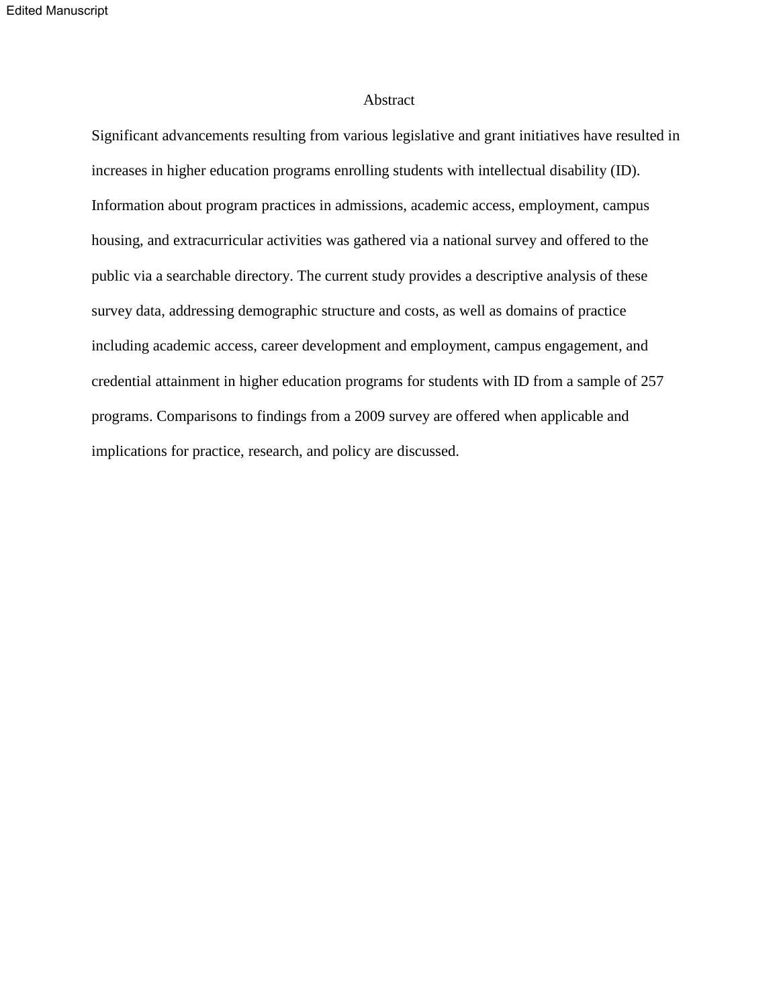### Abstract

Significant advancements resulting from various legislative and grant initiatives have resulted in increases in higher education programs enrolling students with intellectual disability (ID). Information about program practices in admissions, academic access, employment, campus housing, and extracurricular activities was gathered via a national survey and offered to the public via a searchable directory. The current study provides a descriptive analysis of these survey data, addressing demographic structure and costs, as well as domains of practice including academic access, career development and employment, campus engagement, and credential attainment in higher education programs for students with ID from a sample of 257 programs. Comparisons to findings from a 2009 survey are offered when applicable and implications for practice, research, and policy are discussed.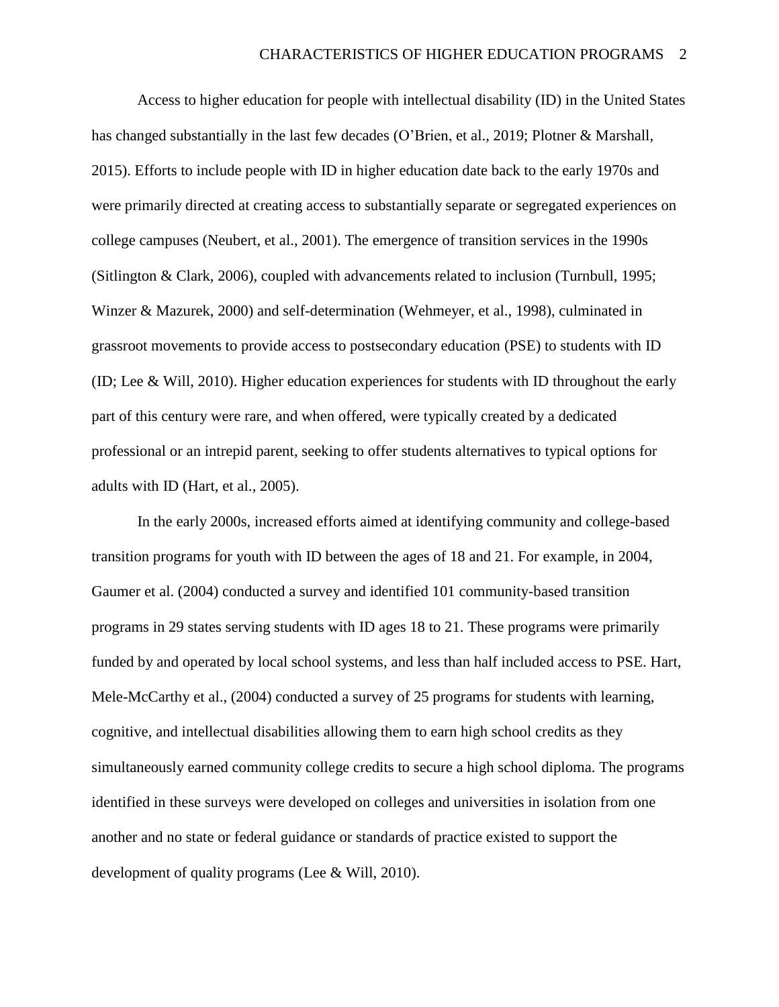Access to higher education for people with intellectual disability (ID) in the United States has changed substantially in the last few decades (O'Brien, et al., 2019; Plotner & Marshall, 2015). Efforts to include people with ID in higher education date back to the early 1970s and were primarily directed at creating access to substantially separate or segregated experiences on college campuses (Neubert, et al., 2001). The emergence of transition services in the 1990s (Sitlington & Clark, 2006), coupled with advancements related to inclusion (Turnbull, 1995; Winzer & Mazurek, 2000) and self-determination (Wehmeyer, et al., 1998), culminated in grassroot movements to provide access to postsecondary education (PSE) to students with ID (ID; Lee & Will, 2010). Higher education experiences for students with ID throughout the early part of this century were rare, and when offered, were typically created by a dedicated professional or an intrepid parent, seeking to offer students alternatives to typical options for adults with ID (Hart, et al., 2005).

In the early 2000s, increased efforts aimed at identifying community and college-based transition programs for youth with ID between the ages of 18 and 21. For example, in 2004, Gaumer et al. (2004) conducted a survey and identified 101 community-based transition programs in 29 states serving students with ID ages 18 to 21. These programs were primarily funded by and operated by local school systems, and less than half included access to PSE. Hart, Mele-McCarthy et al., (2004) conducted a survey of 25 programs for students with learning, cognitive, and intellectual disabilities allowing them to earn high school credits as they simultaneously earned community college credits to secure a high school diploma. The programs identified in these surveys were developed on colleges and universities in isolation from one another and no state or federal guidance or standards of practice existed to support the development of quality programs (Lee & Will, 2010).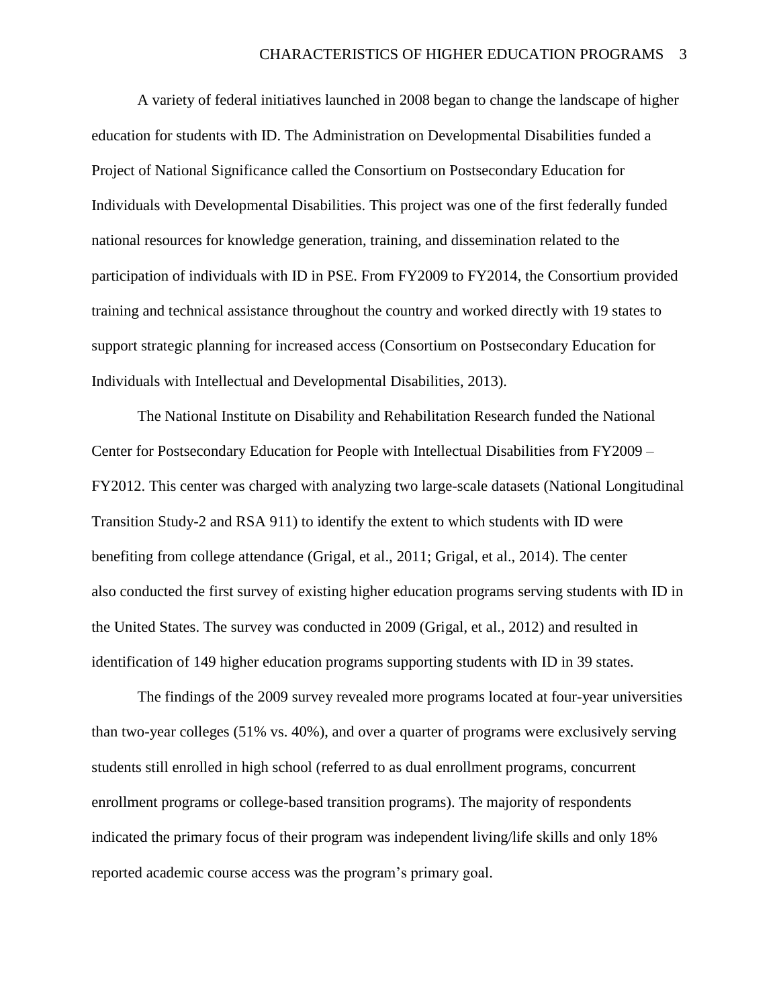A variety of federal initiatives launched in 2008 began to change the landscape of higher education for students with ID. The Administration on Developmental Disabilities funded a Project of National Significance called the Consortium on Postsecondary Education for Individuals with Developmental Disabilities. This project was one of the first federally funded national resources for knowledge generation, training, and dissemination related to the participation of individuals with ID in PSE. From FY2009 to FY2014, the Consortium provided training and technical assistance throughout the country and worked directly with 19 states to support strategic planning for increased access (Consortium on Postsecondary Education for Individuals with Intellectual and Developmental Disabilities, 2013).

The National Institute on Disability and Rehabilitation Research funded the National Center for Postsecondary Education for People with Intellectual Disabilities from FY2009 – FY2012. This center was charged with analyzing two large-scale datasets (National Longitudinal Transition Study-2 and RSA 911) to identify the extent to which students with ID were benefiting from college attendance (Grigal, et al., 2011; Grigal, et al., 2014). The center also conducted the first survey of existing higher education programs serving students with ID in the United States. The survey was conducted in 2009 (Grigal, et al., 2012) and resulted in identification of 149 higher education programs supporting students with ID in 39 states.

The findings of the 2009 survey revealed more programs located at four-year universities than two-year colleges (51% vs. 40%), and over a quarter of programs were exclusively serving students still enrolled in high school (referred to as dual enrollment programs, concurrent enrollment programs or college-based transition programs). The majority of respondents indicated the primary focus of their program was independent living/life skills and only 18% reported academic course access was the program's primary goal.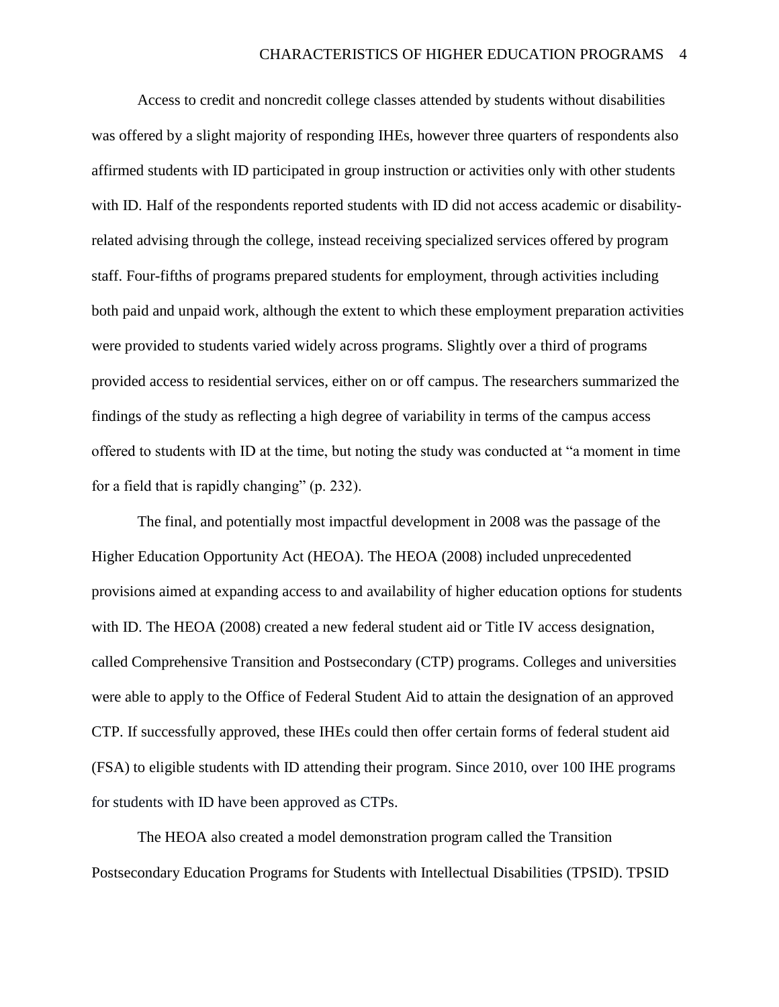Access to credit and noncredit college classes attended by students without disabilities was offered by a slight majority of responding IHEs, however three quarters of respondents also affirmed students with ID participated in group instruction or activities only with other students with ID. Half of the respondents reported students with ID did not access academic or disabilityrelated advising through the college, instead receiving specialized services offered by program staff. Four-fifths of programs prepared students for employment, through activities including both paid and unpaid work, although the extent to which these employment preparation activities were provided to students varied widely across programs. Slightly over a third of programs provided access to residential services, either on or off campus. The researchers summarized the findings of the study as reflecting a high degree of variability in terms of the campus access offered to students with ID at the time, but noting the study was conducted at "a moment in time for a field that is rapidly changing" (p. 232).

The final, and potentially most impactful development in 2008 was the passage of the Higher Education Opportunity Act (HEOA). The HEOA (2008) included unprecedented provisions aimed at expanding access to and availability of higher education options for students with ID. The HEOA (2008) created a new federal student aid or Title IV access designation, called Comprehensive Transition and Postsecondary (CTP) programs. Colleges and universities were able to apply to the Office of Federal Student Aid to attain the designation of an approved CTP. If successfully approved, these IHEs could then offer certain forms of federal student aid (FSA) to eligible students with ID attending their program. Since 2010, over 100 IHE programs for students with ID have been approved as CTPs.

The HEOA also created a model demonstration program called the Transition Postsecondary Education Programs for Students with Intellectual Disabilities (TPSID). TPSID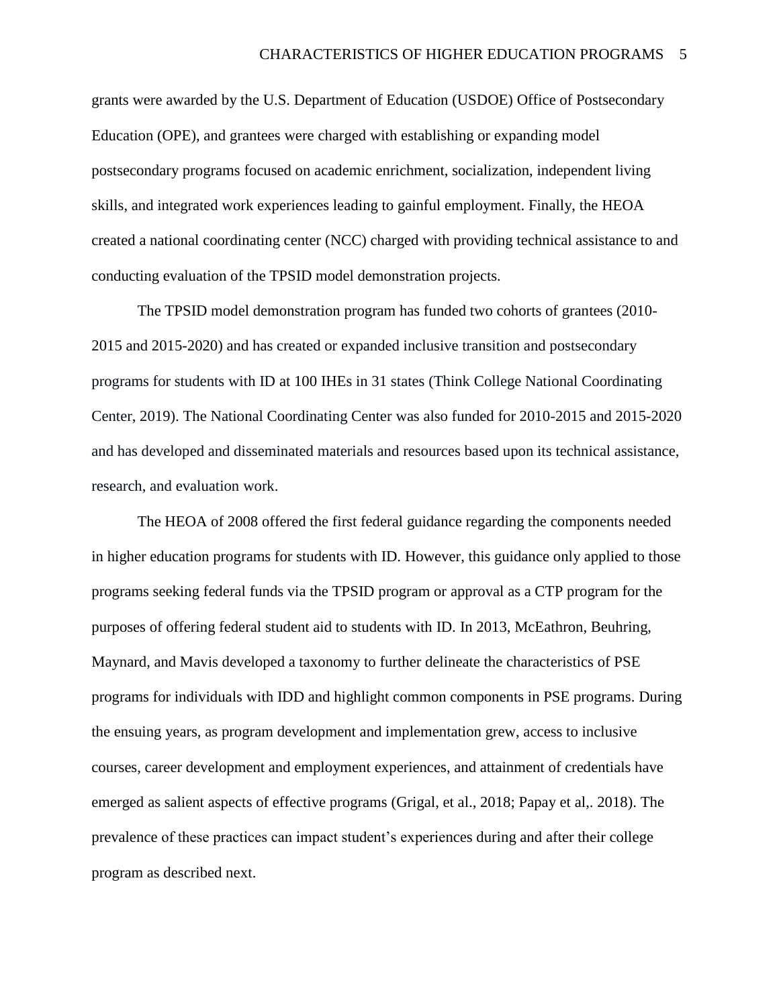grants were awarded by the U.S. Department of Education (USDOE) Office of Postsecondary Education (OPE), and grantees were charged with establishing or expanding model postsecondary programs focused on academic enrichment, socialization, independent living skills, and integrated work experiences leading to gainful employment. Finally, the HEOA created a national coordinating center (NCC) charged with providing technical assistance to and conducting evaluation of the TPSID model demonstration projects.

The TPSID model demonstration program has funded two cohorts of grantees (2010- 2015 and 2015-2020) and has created or expanded inclusive transition and postsecondary programs for students with ID at 100 IHEs in 31 states (Think College National Coordinating Center, 2019). The National Coordinating Center was also funded for 2010-2015 and 2015-2020 and has developed and disseminated materials and resources based upon its technical assistance, research, and evaluation work.

The HEOA of 2008 offered the first federal guidance regarding the components needed in higher education programs for students with ID. However, this guidance only applied to those programs seeking federal funds via the TPSID program or approval as a CTP program for the purposes of offering federal student aid to students with ID. In 2013, McEathron, Beuhring, Maynard, and Mavis developed a taxonomy to further delineate the characteristics of PSE programs for individuals with IDD and highlight common components in PSE programs. During the ensuing years, as program development and implementation grew, access to inclusive courses, career development and employment experiences, and attainment of credentials have emerged as salient aspects of effective programs (Grigal, et al., 2018; Papay et al,. 2018). The prevalence of these practices can impact student's experiences during and after their college program as described next.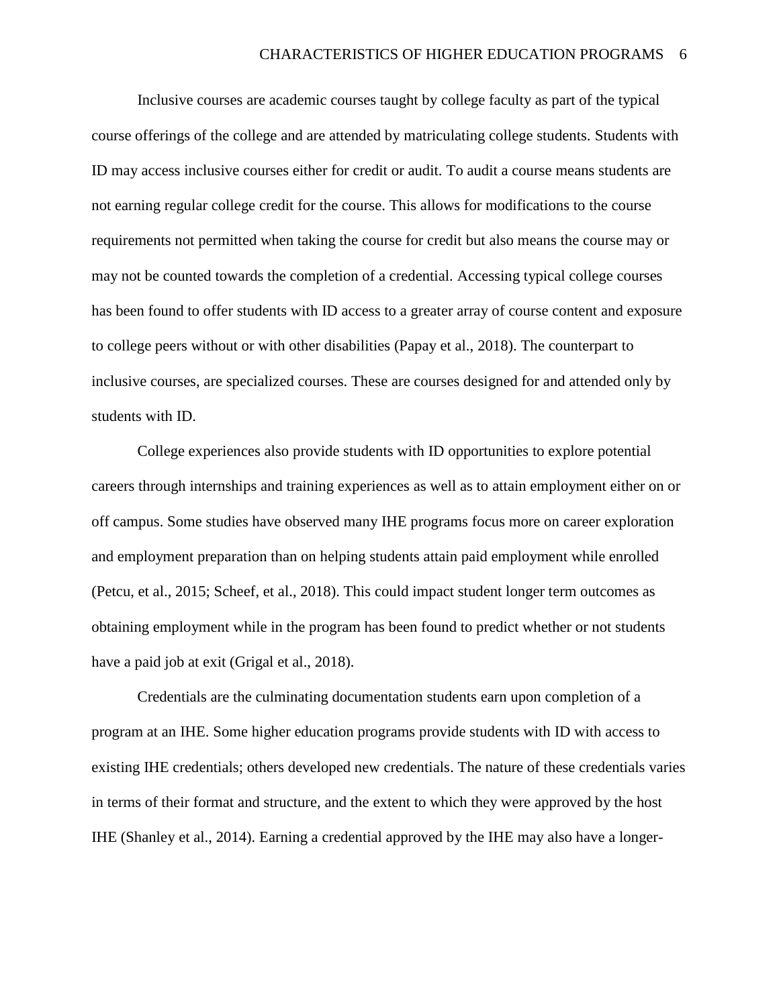Inclusive courses are academic courses taught by college faculty as part of the typical course offerings of the college and are attended by matriculating college students. Students with ID may access inclusive courses either for credit or audit. To audit a course means students are not earning regular college credit for the course. This allows for modifications to the course requirements not permitted when taking the course for credit but also means the course may or may not be counted towards the completion of a credential. Accessing typical college courses has been found to offer students with ID access to a greater array of course content and exposure to college peers without or with other disabilities (Papay et al., 2018). The counterpart to inclusive courses, are specialized courses. These are courses designed for and attended only by students with ID.

College experiences also provide students with ID opportunities to explore potential careers through internships and training experiences as well as to attain employment either on or off campus. Some studies have observed many IHE programs focus more on career exploration and employment preparation than on helping students attain paid employment while enrolled (Petcu, et al., 2015; Scheef, et al., 2018). This could impact student longer term outcomes as obtaining employment while in the program has been found to predict whether or not students have a paid job at exit (Grigal et al., 2018).

Credentials are the culminating documentation students earn upon completion of a program at an IHE. Some higher education programs provide students with ID with access to existing IHE credentials; others developed new credentials. The nature of these credentials varies in terms of their format and structure, and the extent to which they were approved by the host IHE (Shanley et al., 2014). Earning a credential approved by the IHE may also have a longer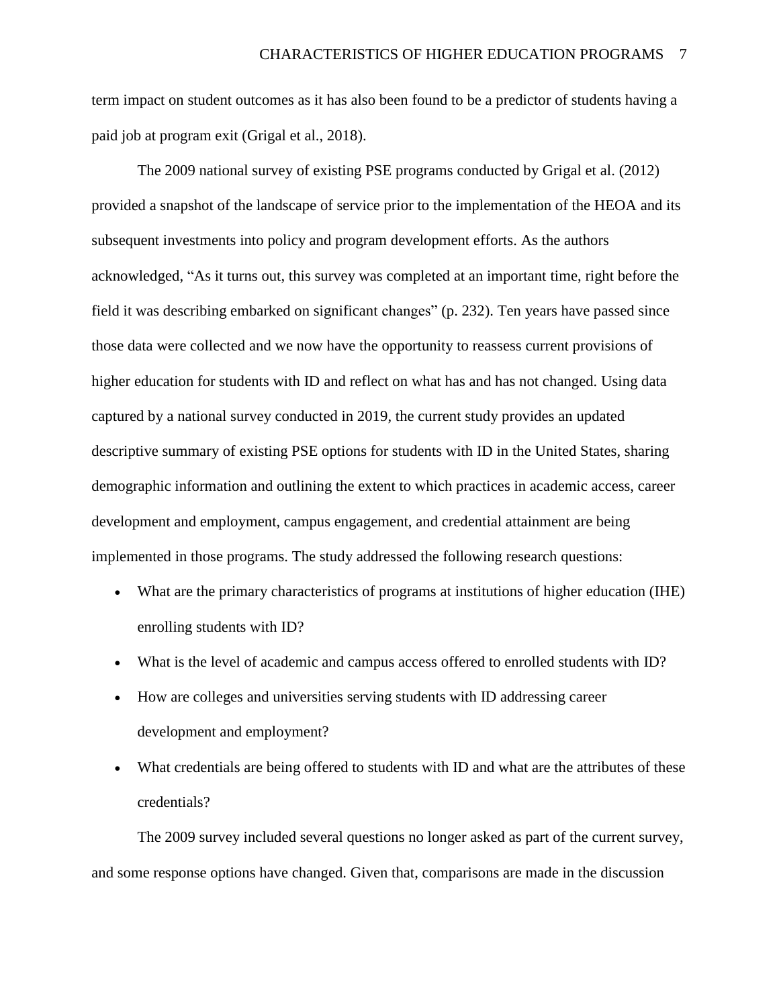term impact on student outcomes as it has also been found to be a predictor of students having a paid job at program exit (Grigal et al., 2018).

The 2009 national survey of existing PSE programs conducted by Grigal et al. (2012) provided a snapshot of the landscape of service prior to the implementation of the HEOA and its subsequent investments into policy and program development efforts. As the authors acknowledged, "As it turns out, this survey was completed at an important time, right before the field it was describing embarked on significant changes" (p. 232). Ten years have passed since those data were collected and we now have the opportunity to reassess current provisions of higher education for students with ID and reflect on what has and has not changed. Using data captured by a national survey conducted in 2019, the current study provides an updated descriptive summary of existing PSE options for students with ID in the United States, sharing demographic information and outlining the extent to which practices in academic access, career development and employment, campus engagement, and credential attainment are being implemented in those programs. The study addressed the following research questions:

- What are the primary characteristics of programs at institutions of higher education (IHE) enrolling students with ID?
- What is the level of academic and campus access offered to enrolled students with ID?
- How are colleges and universities serving students with ID addressing career development and employment?
- What credentials are being offered to students with ID and what are the attributes of these credentials?

The 2009 survey included several questions no longer asked as part of the current survey, and some response options have changed. Given that, comparisons are made in the discussion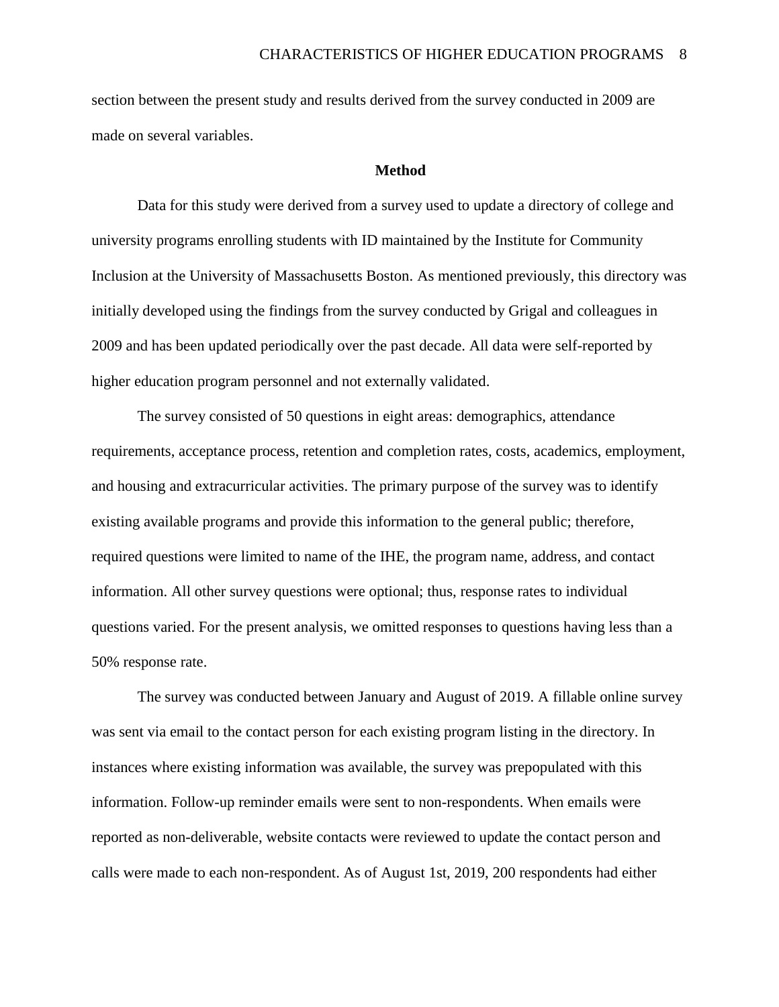section between the present study and results derived from the survey conducted in 2009 are made on several variables.

#### **Method**

Data for this study were derived from a survey used to update a directory of college and university programs enrolling students with ID maintained by the Institute for Community Inclusion at the University of Massachusetts Boston. As mentioned previously, this directory was initially developed using the findings from the survey conducted by Grigal and colleagues in 2009 and has been updated periodically over the past decade. All data were self-reported by higher education program personnel and not externally validated.

The survey consisted of 50 questions in eight areas: demographics, attendance requirements, acceptance process, retention and completion rates, costs, academics, employment, and housing and extracurricular activities. The primary purpose of the survey was to identify existing available programs and provide this information to the general public; therefore, required questions were limited to name of the IHE, the program name, address, and contact information. All other survey questions were optional; thus, response rates to individual questions varied. For the present analysis, we omitted responses to questions having less than a 50% response rate.

The survey was conducted between January and August of 2019. A fillable online survey was sent via email to the contact person for each existing program listing in the directory. In instances where existing information was available, the survey was prepopulated with this information. Follow-up reminder emails were sent to non-respondents. When emails were reported as non-deliverable, website contacts were reviewed to update the contact person and calls were made to each non-respondent. As of August 1st, 2019, 200 respondents had either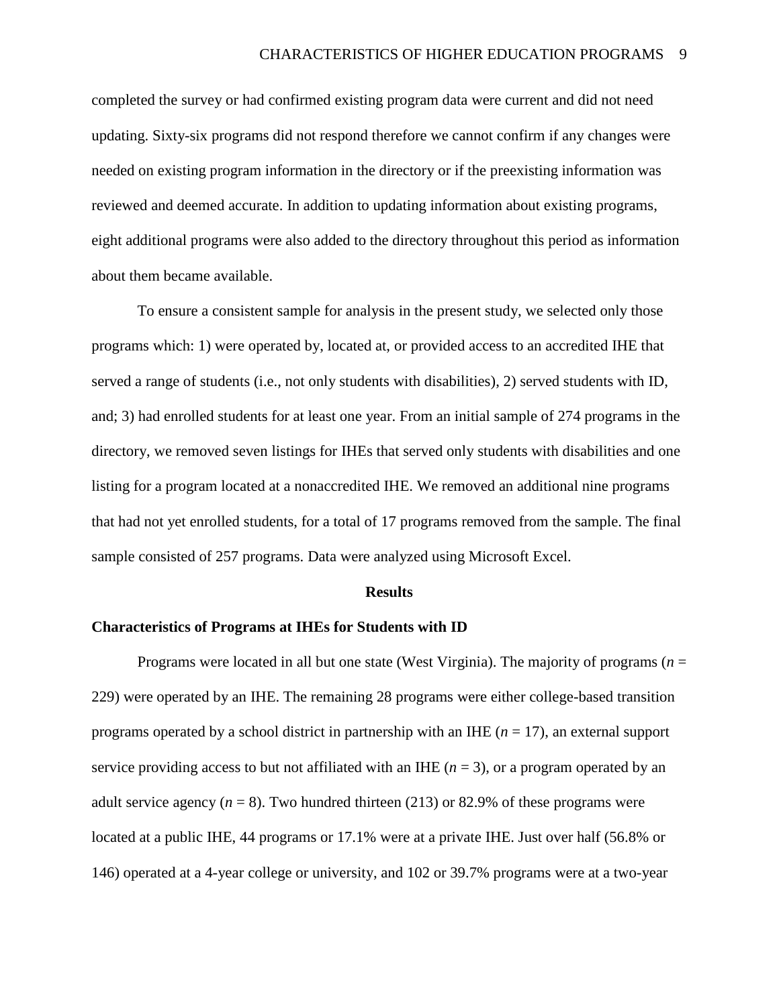completed the survey or had confirmed existing program data were current and did not need updating. Sixty-six programs did not respond therefore we cannot confirm if any changes were needed on existing program information in the directory or if the preexisting information was reviewed and deemed accurate. In addition to updating information about existing programs, eight additional programs were also added to the directory throughout this period as information about them became available.

To ensure a consistent sample for analysis in the present study, we selected only those programs which: 1) were operated by, located at, or provided access to an accredited IHE that served a range of students (i.e., not only students with disabilities), 2) served students with ID, and; 3) had enrolled students for at least one year. From an initial sample of 274 programs in the directory, we removed seven listings for IHEs that served only students with disabilities and one listing for a program located at a nonaccredited IHE. We removed an additional nine programs that had not yet enrolled students, for a total of 17 programs removed from the sample. The final sample consisted of 257 programs. Data were analyzed using Microsoft Excel.

#### **Results**

### **Characteristics of Programs at IHEs for Students with ID**

Programs were located in all but one state (West Virginia). The majority of programs (*n* = 229) were operated by an IHE. The remaining 28 programs were either college-based transition programs operated by a school district in partnership with an IHE (*n* = 17), an external support service providing access to but not affiliated with an IHE  $(n = 3)$ , or a program operated by an adult service agency  $(n = 8)$ . Two hundred thirteen (213) or 82.9% of these programs were located at a public IHE, 44 programs or 17.1% were at a private IHE. Just over half (56.8% or 146) operated at a 4-year college or university, and 102 or 39.7% programs were at a two-year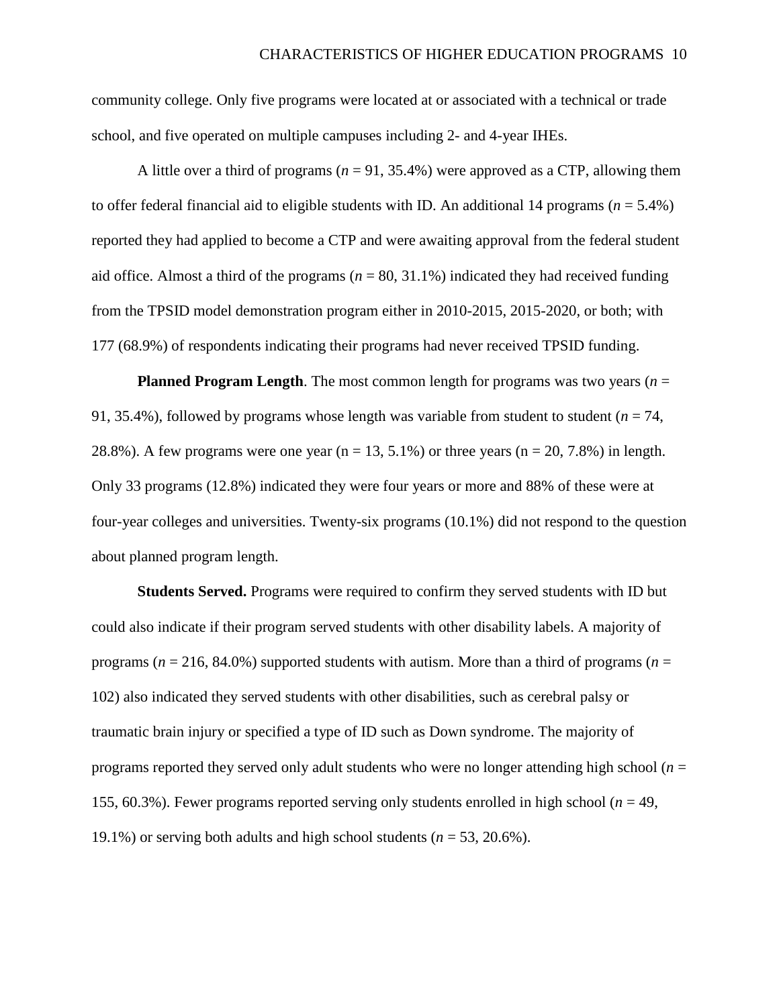community college. Only five programs were located at or associated with a technical or trade school, and five operated on multiple campuses including 2- and 4-year IHEs.

A little over a third of programs  $(n = 91, 35.4\%)$  were approved as a CTP, allowing them to offer federal financial aid to eligible students with ID. An additional 14 programs ( $n = 5.4\%$ ) reported they had applied to become a CTP and were awaiting approval from the federal student aid office. Almost a third of the programs ( $n = 80, 31.1\%$ ) indicated they had received funding from the TPSID model demonstration program either in 2010-2015, 2015-2020, or both; with 177 (68.9%) of respondents indicating their programs had never received TPSID funding.

**Planned Program Length**. The most common length for programs was two years ( $n =$ 91, 35.4%), followed by programs whose length was variable from student to student (*n* = 74, 28.8%). A few programs were one year ( $n = 13, 5.1\%$ ) or three years ( $n = 20, 7.8\%$ ) in length. Only 33 programs (12.8%) indicated they were four years or more and 88% of these were at four-year colleges and universities. Twenty-six programs (10.1%) did not respond to the question about planned program length.

**Students Served.** Programs were required to confirm they served students with ID but could also indicate if their program served students with other disability labels. A majority of programs ( $n = 216, 84.0\%$ ) supported students with autism. More than a third of programs ( $n =$ 102) also indicated they served students with other disabilities, such as cerebral palsy or traumatic brain injury or specified a type of ID such as Down syndrome. The majority of programs reported they served only adult students who were no longer attending high school (*n* = 155, 60.3%). Fewer programs reported serving only students enrolled in high school (*n* = 49, 19.1%) or serving both adults and high school students (*n* = 53, 20.6%).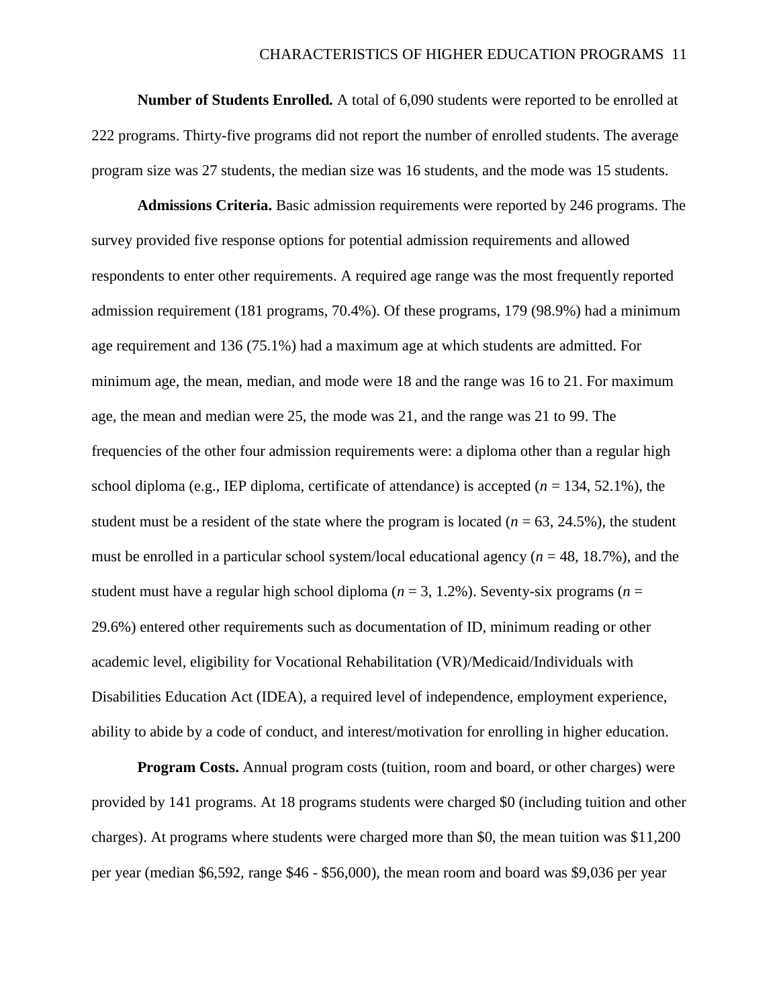**Number of Students Enrolled***.* A total of 6,090 students were reported to be enrolled at 222 programs. Thirty-five programs did not report the number of enrolled students. The average program size was 27 students, the median size was 16 students, and the mode was 15 students.

**Admissions Criteria.** Basic admission requirements were reported by 246 programs. The survey provided five response options for potential admission requirements and allowed respondents to enter other requirements. A required age range was the most frequently reported admission requirement (181 programs, 70.4%). Of these programs, 179 (98.9%) had a minimum age requirement and 136 (75.1%) had a maximum age at which students are admitted. For minimum age, the mean, median, and mode were 18 and the range was 16 to 21. For maximum age, the mean and median were 25, the mode was 21, and the range was 21 to 99. The frequencies of the other four admission requirements were: a diploma other than a regular high school diploma (e.g., IEP diploma, certificate of attendance) is accepted (*n* = 134, 52.1%), the student must be a resident of the state where the program is located  $(n = 63, 24.5\%)$ , the student must be enrolled in a particular school system/local educational agency  $(n = 48, 18.7\%)$ , and the student must have a regular high school diploma (*n* = 3, 1.2%). Seventy-six programs (*n* = 29.6%) entered other requirements such as documentation of ID, minimum reading or other academic level, eligibility for Vocational Rehabilitation (VR)/Medicaid/Individuals with Disabilities Education Act (IDEA), a required level of independence, employment experience, ability to abide by a code of conduct, and interest/motivation for enrolling in higher education.

**Program Costs.** Annual program costs (tuition, room and board, or other charges) were provided by 141 programs. At 18 programs students were charged \$0 (including tuition and other charges). At programs where students were charged more than \$0, the mean tuition was \$11,200 per year (median \$6,592, range \$46 - \$56,000), the mean room and board was \$9,036 per year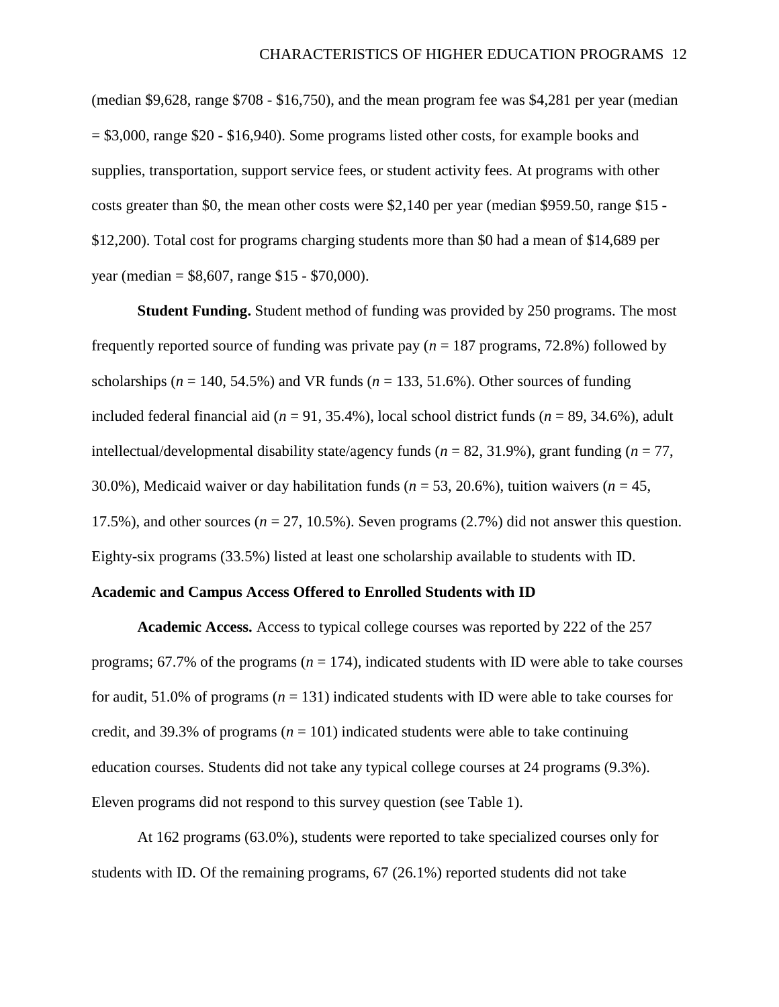(median \$9,628, range \$708 - \$16,750), and the mean program fee was \$4,281 per year (median  $= $3,000$ , range \$20 - \$16,940). Some programs listed other costs, for example books and supplies, transportation, support service fees, or student activity fees. At programs with other costs greater than \$0, the mean other costs were \$2,140 per year (median \$959.50, range \$15 - \$12,200). Total cost for programs charging students more than \$0 had a mean of \$14,689 per year (median = \$8,607, range \$15 - \$70,000).

**Student Funding.** Student method of funding was provided by 250 programs. The most frequently reported source of funding was private pay (*n* = 187 programs, 72.8%) followed by scholarships ( $n = 140, 54.5\%$ ) and VR funds ( $n = 133, 51.6\%$ ). Other sources of funding included federal financial aid ( $n = 91, 35.4\%$ ), local school district funds ( $n = 89, 34.6\%$ ), adult intellectual/developmental disability state/agency funds (*n* = 82, 31.9%), grant funding (*n* = 77, 30.0%), Medicaid waiver or day habilitation funds (*n* = 53, 20.6%), tuition waivers (*n* = 45, 17.5%), and other sources ( $n = 27, 10.5$ %). Seven programs (2.7%) did not answer this question. Eighty-six programs (33.5%) listed at least one scholarship available to students with ID.

#### **Academic and Campus Access Offered to Enrolled Students with ID**

**Academic Access.** Access to typical college courses was reported by 222 of the 257 programs;  $67.7\%$  of the programs ( $n = 174$ ), indicated students with ID were able to take courses for audit, 51.0% of programs ( $n = 131$ ) indicated students with ID were able to take courses for credit, and 39.3% of programs ( $n = 101$ ) indicated students were able to take continuing education courses. Students did not take any typical college courses at 24 programs (9.3%). Eleven programs did not respond to this survey question (see Table 1).

At 162 programs (63.0%), students were reported to take specialized courses only for students with ID. Of the remaining programs, 67 (26.1%) reported students did not take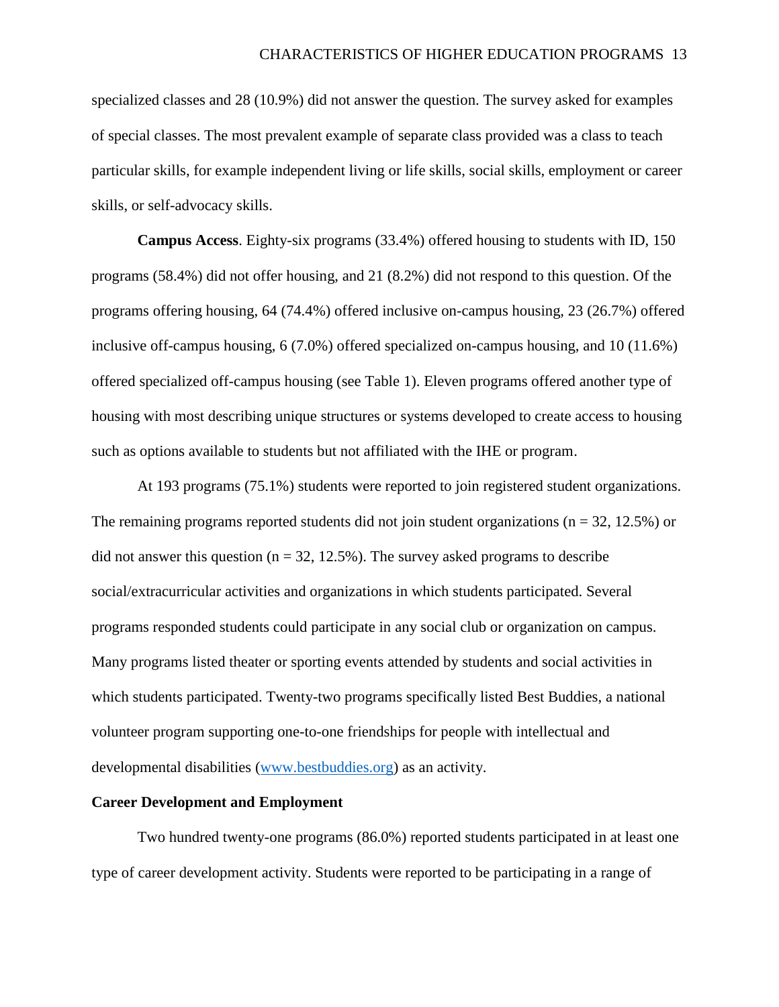specialized classes and 28 (10.9%) did not answer the question. The survey asked for examples of special classes. The most prevalent example of separate class provided was a class to teach particular skills, for example independent living or life skills, social skills, employment or career skills, or self-advocacy skills.

**Campus Access**. Eighty-six programs (33.4%) offered housing to students with ID, 150 programs (58.4%) did not offer housing, and 21 (8.2%) did not respond to this question. Of the programs offering housing, 64 (74.4%) offered inclusive on-campus housing, 23 (26.7%) offered inclusive off-campus housing, 6 (7.0%) offered specialized on-campus housing, and 10 (11.6%) offered specialized off-campus housing (see Table 1). Eleven programs offered another type of housing with most describing unique structures or systems developed to create access to housing such as options available to students but not affiliated with the IHE or program.

At 193 programs (75.1%) students were reported to join registered student organizations. The remaining programs reported students did not join student organizations ( $n = 32, 12.5\%$ ) or did not answer this question ( $n = 32, 12.5\%$ ). The survey asked programs to describe social/extracurricular activities and organizations in which students participated. Several programs responded students could participate in any social club or organization on campus. Many programs listed theater or sporting events attended by students and social activities in which students participated. Twenty-two programs specifically listed Best Buddies, a national volunteer program supporting one-to-one friendships for people with intellectual and developmental disabilities [\(www.bestbuddies.org\)](http://www.bestbuddies.org/) as an activity.

### **Career Development and Employment**

Two hundred twenty-one programs (86.0%) reported students participated in at least one type of career development activity. Students were reported to be participating in a range of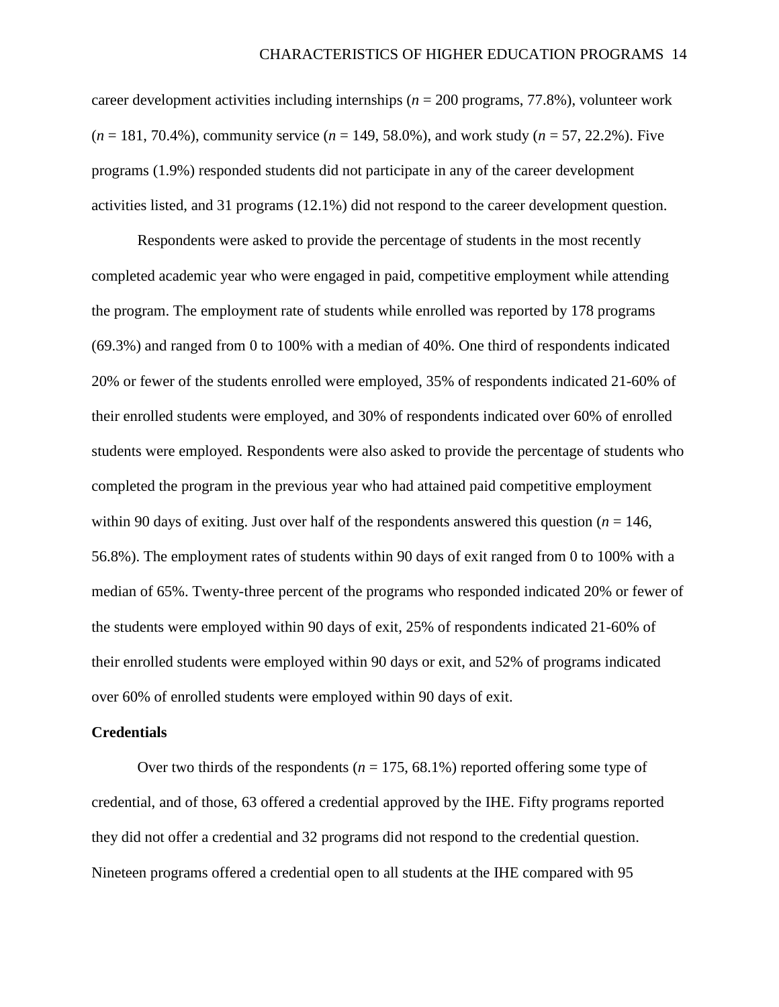career development activities including internships (*n* = 200 programs, 77.8%), volunteer work (*n* = 181, 70.4%), community service (*n* = 149, 58.0%), and work study (*n* = 57, 22.2%). Five programs (1.9%) responded students did not participate in any of the career development activities listed, and 31 programs (12.1%) did not respond to the career development question.

Respondents were asked to provide the percentage of students in the most recently completed academic year who were engaged in paid, competitive employment while attending the program. The employment rate of students while enrolled was reported by 178 programs (69.3%) and ranged from 0 to 100% with a median of 40%. One third of respondents indicated 20% or fewer of the students enrolled were employed, 35% of respondents indicated 21-60% of their enrolled students were employed, and 30% of respondents indicated over 60% of enrolled students were employed. Respondents were also asked to provide the percentage of students who completed the program in the previous year who had attained paid competitive employment within 90 days of exiting. Just over half of the respondents answered this question ( $n = 146$ , 56.8%). The employment rates of students within 90 days of exit ranged from 0 to 100% with a median of 65%. Twenty-three percent of the programs who responded indicated 20% or fewer of the students were employed within 90 days of exit, 25% of respondents indicated 21-60% of their enrolled students were employed within 90 days or exit, and 52% of programs indicated over 60% of enrolled students were employed within 90 days of exit.

#### **Credentials**

Over two thirds of the respondents ( $n = 175, 68.1\%$ ) reported offering some type of credential, and of those, 63 offered a credential approved by the IHE. Fifty programs reported they did not offer a credential and 32 programs did not respond to the credential question. Nineteen programs offered a credential open to all students at the IHE compared with 95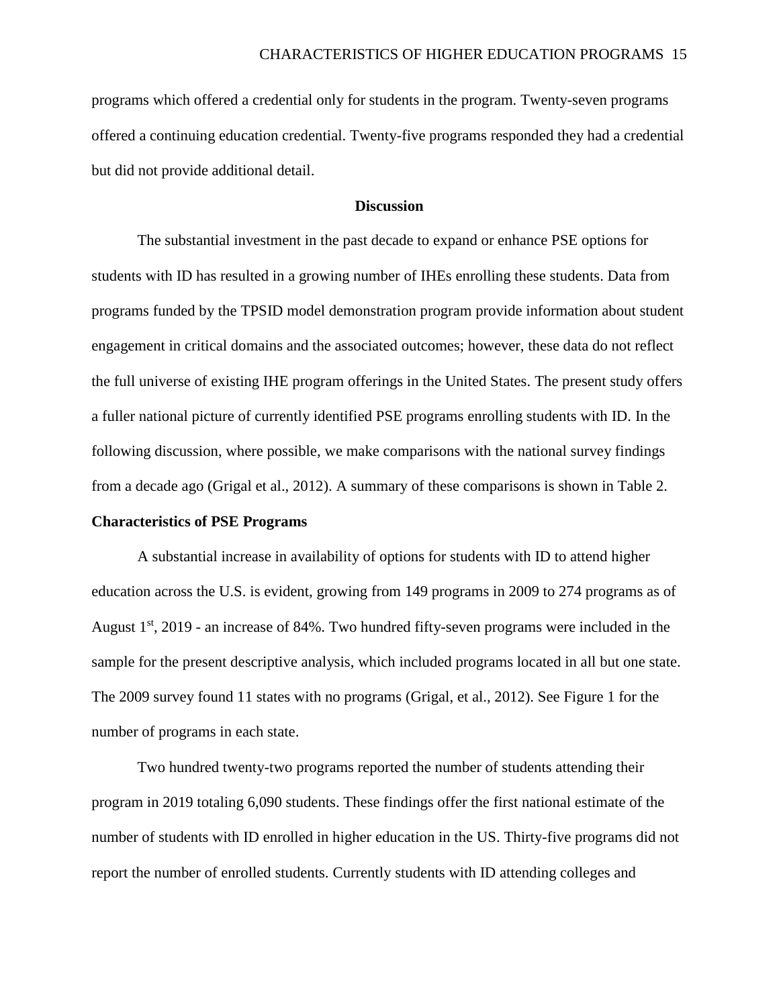programs which offered a credential only for students in the program. Twenty-seven programs offered a continuing education credential. Twenty-five programs responded they had a credential but did not provide additional detail.

## **Discussion**

The substantial investment in the past decade to expand or enhance PSE options for students with ID has resulted in a growing number of IHEs enrolling these students. Data from programs funded by the TPSID model demonstration program provide information about student engagement in critical domains and the associated outcomes; however, these data do not reflect the full universe of existing IHE program offerings in the United States. The present study offers a fuller national picture of currently identified PSE programs enrolling students with ID. In the following discussion, where possible, we make comparisons with the national survey findings from a decade ago (Grigal et al., 2012). A summary of these comparisons is shown in Table 2.

#### **Characteristics of PSE Programs**

A substantial increase in availability of options for students with ID to attend higher education across the U.S. is evident, growing from 149 programs in 2009 to 274 programs as of August  $1<sup>st</sup>$ , 2019 - an increase of 84%. Two hundred fifty-seven programs were included in the sample for the present descriptive analysis, which included programs located in all but one state. The 2009 survey found 11 states with no programs (Grigal, et al., 2012). See Figure 1 for the number of programs in each state.

Two hundred twenty-two programs reported the number of students attending their program in 2019 totaling 6,090 students. These findings offer the first national estimate of the number of students with ID enrolled in higher education in the US. Thirty-five programs did not report the number of enrolled students. Currently students with ID attending colleges and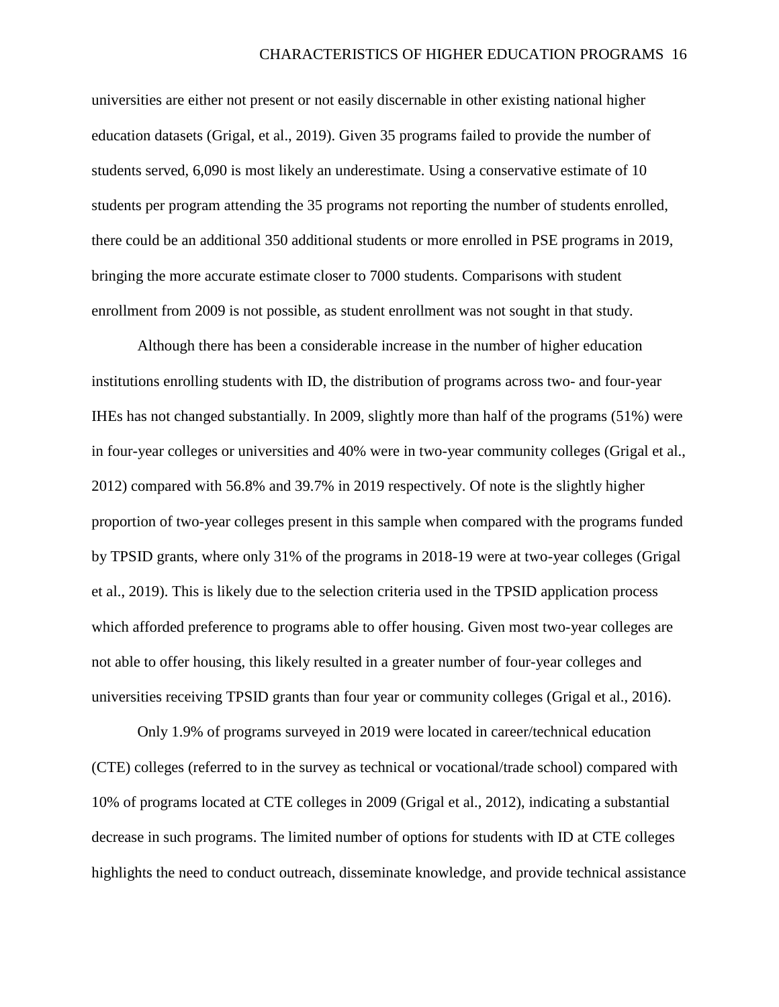universities are either not present or not easily discernable in other existing national higher education datasets (Grigal, et al., 2019). Given 35 programs failed to provide the number of students served, 6,090 is most likely an underestimate. Using a conservative estimate of 10 students per program attending the 35 programs not reporting the number of students enrolled, there could be an additional 350 additional students or more enrolled in PSE programs in 2019, bringing the more accurate estimate closer to 7000 students. Comparisons with student enrollment from 2009 is not possible, as student enrollment was not sought in that study.

Although there has been a considerable increase in the number of higher education institutions enrolling students with ID, the distribution of programs across two- and four-year IHEs has not changed substantially. In 2009, slightly more than half of the programs (51%) were in four-year colleges or universities and 40% were in two-year community colleges (Grigal et al., 2012) compared with 56.8% and 39.7% in 2019 respectively. Of note is the slightly higher proportion of two-year colleges present in this sample when compared with the programs funded by TPSID grants, where only 31% of the programs in 2018-19 were at two-year colleges (Grigal et al., 2019). This is likely due to the selection criteria used in the TPSID application process which afforded preference to programs able to offer housing. Given most two-year colleges are not able to offer housing, this likely resulted in a greater number of four-year colleges and universities receiving TPSID grants than four year or community colleges (Grigal et al., 2016).

Only 1.9% of programs surveyed in 2019 were located in career/technical education (CTE) colleges (referred to in the survey as technical or vocational/trade school) compared with 10% of programs located at CTE colleges in 2009 (Grigal et al., 2012), indicating a substantial decrease in such programs. The limited number of options for students with ID at CTE colleges highlights the need to conduct outreach, disseminate knowledge, and provide technical assistance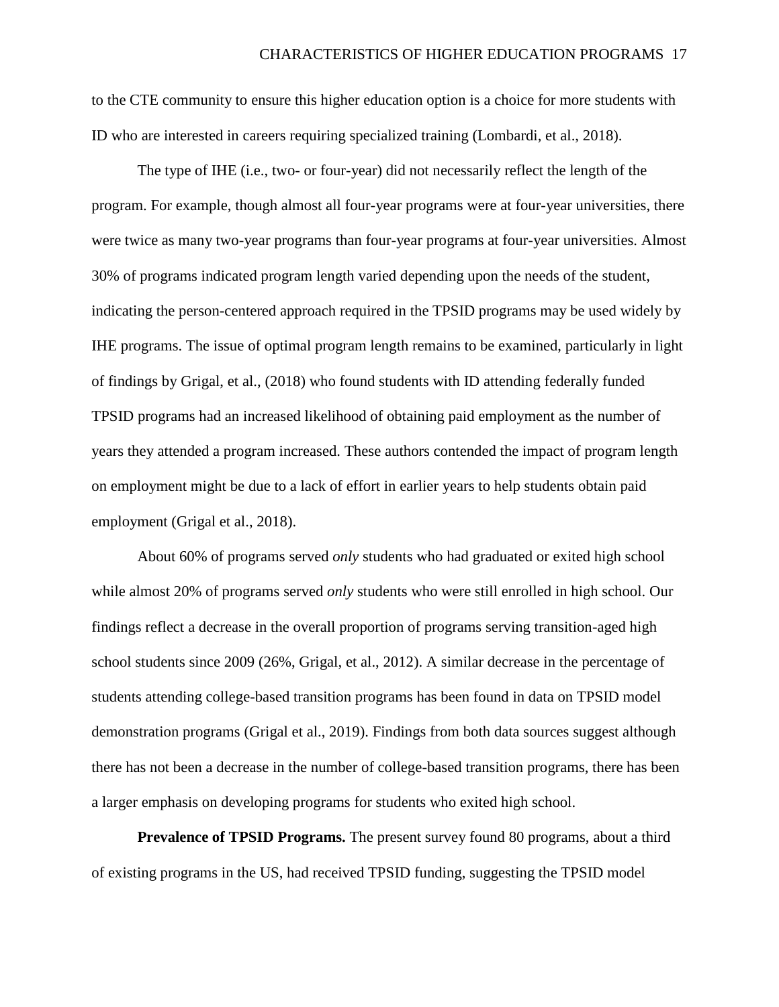to the CTE community to ensure this higher education option is a choice for more students with ID who are interested in careers requiring specialized training (Lombardi, et al., 2018).

The type of IHE (i.e., two- or four-year) did not necessarily reflect the length of the program. For example, though almost all four-year programs were at four-year universities, there were twice as many two-year programs than four-year programs at four-year universities. Almost 30% of programs indicated program length varied depending upon the needs of the student, indicating the person-centered approach required in the TPSID programs may be used widely by IHE programs. The issue of optimal program length remains to be examined, particularly in light of findings by Grigal, et al., (2018) who found students with ID attending federally funded TPSID programs had an increased likelihood of obtaining paid employment as the number of years they attended a program increased. These authors contended the impact of program length on employment might be due to a lack of effort in earlier years to help students obtain paid employment (Grigal et al., 2018).

About 60% of programs served *only* students who had graduated or exited high school while almost 20% of programs served *only* students who were still enrolled in high school. Our findings reflect a decrease in the overall proportion of programs serving transition-aged high school students since 2009 (26%, Grigal, et al., 2012). A similar decrease in the percentage of students attending college-based transition programs has been found in data on TPSID model demonstration programs (Grigal et al., 2019). Findings from both data sources suggest although there has not been a decrease in the number of college-based transition programs, there has been a larger emphasis on developing programs for students who exited high school.

**Prevalence of TPSID Programs.** The present survey found 80 programs, about a third of existing programs in the US, had received TPSID funding, suggesting the TPSID model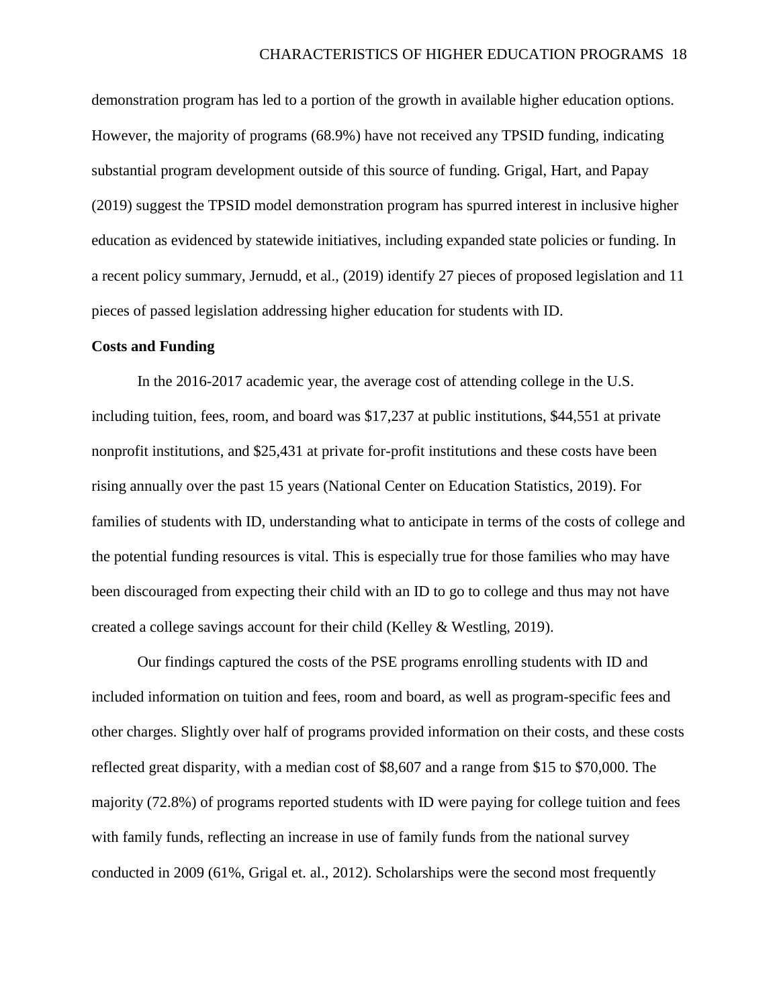demonstration program has led to a portion of the growth in available higher education options. However, the majority of programs (68.9%) have not received any TPSID funding, indicating substantial program development outside of this source of funding. Grigal, Hart, and Papay (2019) suggest the TPSID model demonstration program has spurred interest in inclusive higher education as evidenced by statewide initiatives, including expanded state policies or funding. In a recent policy summary, Jernudd, et al., (2019) identify 27 pieces of proposed legislation and 11 pieces of passed legislation addressing higher education for students with ID.

#### **Costs and Funding**

In the 2016-2017 academic year, the average cost of attending college in the U.S. including tuition, fees, room, and board was \$17,237 at public institutions, \$44,551 at private nonprofit institutions, and \$25,431 at private for-profit institutions and these costs have been rising annually over the past 15 years (National Center on Education Statistics, 2019). For families of students with ID, understanding what to anticipate in terms of the costs of college and the potential funding resources is vital. This is especially true for those families who may have been discouraged from expecting their child with an ID to go to college and thus may not have created a college savings account for their child (Kelley & Westling, 2019).

Our findings captured the costs of the PSE programs enrolling students with ID and included information on tuition and fees, room and board, as well as program-specific fees and other charges. Slightly over half of programs provided information on their costs, and these costs reflected great disparity, with a median cost of \$8,607 and a range from \$15 to \$70,000. The majority (72.8%) of programs reported students with ID were paying for college tuition and fees with family funds, reflecting an increase in use of family funds from the national survey conducted in 2009 (61%, Grigal et. al., 2012). Scholarships were the second most frequently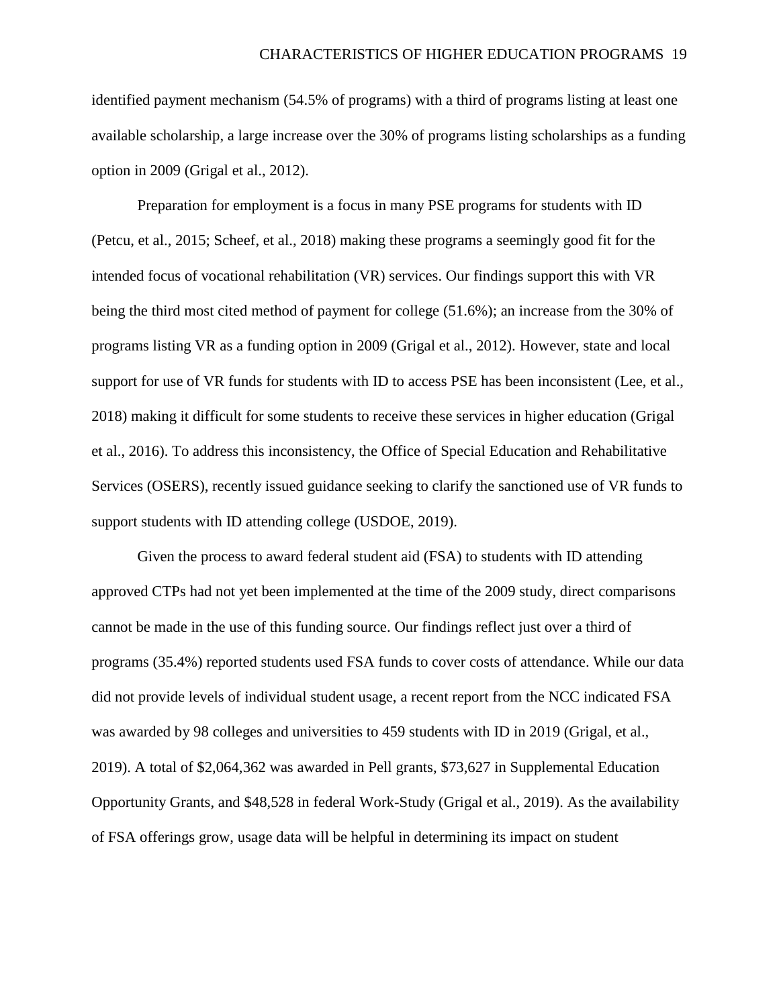identified payment mechanism (54.5% of programs) with a third of programs listing at least one available scholarship, a large increase over the 30% of programs listing scholarships as a funding option in 2009 (Grigal et al., 2012).

Preparation for employment is a focus in many PSE programs for students with ID (Petcu, et al., 2015; Scheef, et al., 2018) making these programs a seemingly good fit for the intended focus of vocational rehabilitation (VR) services. Our findings support this with VR being the third most cited method of payment for college (51.6%); an increase from the 30% of programs listing VR as a funding option in 2009 (Grigal et al., 2012). However, state and local support for use of VR funds for students with ID to access PSE has been inconsistent (Lee, et al., 2018) making it difficult for some students to receive these services in higher education (Grigal et al., 2016). To address this inconsistency, the Office of Special Education and Rehabilitative Services (OSERS), recently issued guidance seeking to clarify the sanctioned use of VR funds to support students with ID attending college (USDOE, 2019).

Given the process to award federal student aid (FSA) to students with ID attending approved CTPs had not yet been implemented at the time of the 2009 study, direct comparisons cannot be made in the use of this funding source. Our findings reflect just over a third of programs (35.4%) reported students used FSA funds to cover costs of attendance. While our data did not provide levels of individual student usage, a recent report from the NCC indicated FSA was awarded by 98 colleges and universities to 459 students with ID in 2019 (Grigal, et al., 2019). A total of \$2,064,362 was awarded in Pell grants, \$73,627 in Supplemental Education Opportunity Grants, and \$48,528 in federal Work-Study (Grigal et al., 2019). As the availability of FSA offerings grow, usage data will be helpful in determining its impact on student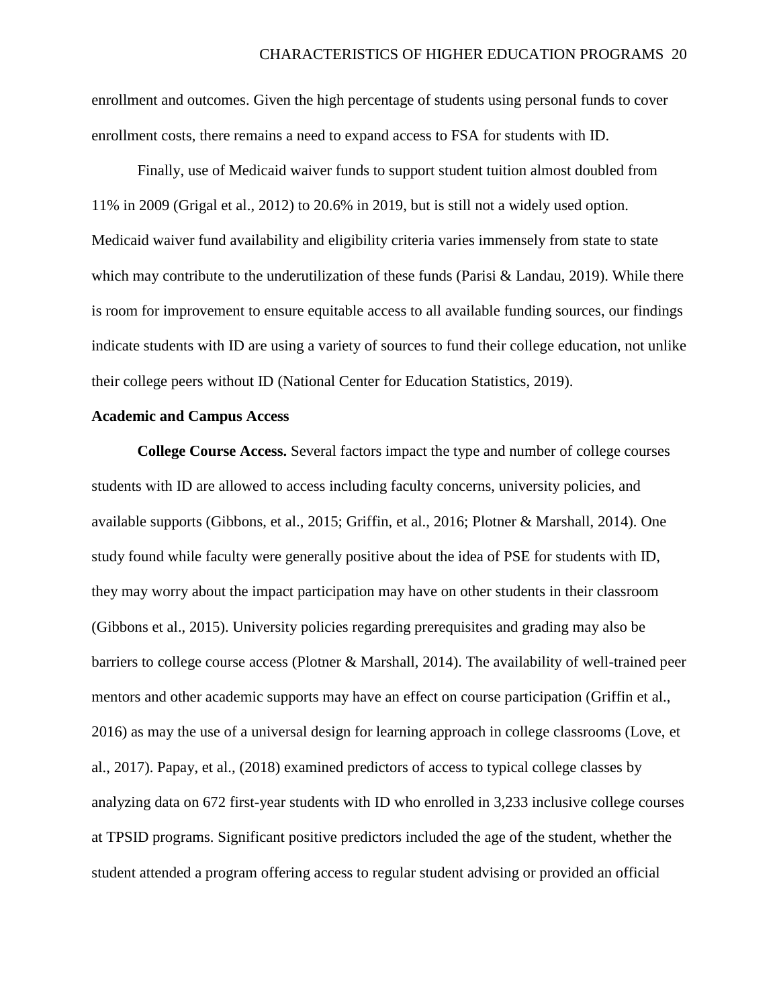enrollment and outcomes. Given the high percentage of students using personal funds to cover enrollment costs, there remains a need to expand access to FSA for students with ID.

Finally, use of Medicaid waiver funds to support student tuition almost doubled from 11% in 2009 (Grigal et al., 2012) to 20.6% in 2019, but is still not a widely used option. Medicaid waiver fund availability and eligibility criteria varies immensely from state to state which may contribute to the underutilization of these funds (Parisi & Landau, 2019). While there is room for improvement to ensure equitable access to all available funding sources, our findings indicate students with ID are using a variety of sources to fund their college education, not unlike their college peers without ID (National Center for Education Statistics, 2019).

### **Academic and Campus Access**

**College Course Access.** Several factors impact the type and number of college courses students with ID are allowed to access including faculty concerns, university policies, and available supports (Gibbons, et al., 2015; Griffin, et al., 2016; Plotner & Marshall, 2014). One study found while faculty were generally positive about the idea of PSE for students with ID, they may worry about the impact participation may have on other students in their classroom (Gibbons et al., 2015). University policies regarding prerequisites and grading may also be barriers to college course access (Plotner & Marshall, 2014). The availability of well-trained peer mentors and other academic supports may have an effect on course participation (Griffin et al., 2016) as may the use of a universal design for learning approach in college classrooms (Love, et al., 2017). Papay, et al., (2018) examined predictors of access to typical college classes by analyzing data on 672 first-year students with ID who enrolled in 3,233 inclusive college courses at TPSID programs. Significant positive predictors included the age of the student, whether the student attended a program offering access to regular student advising or provided an official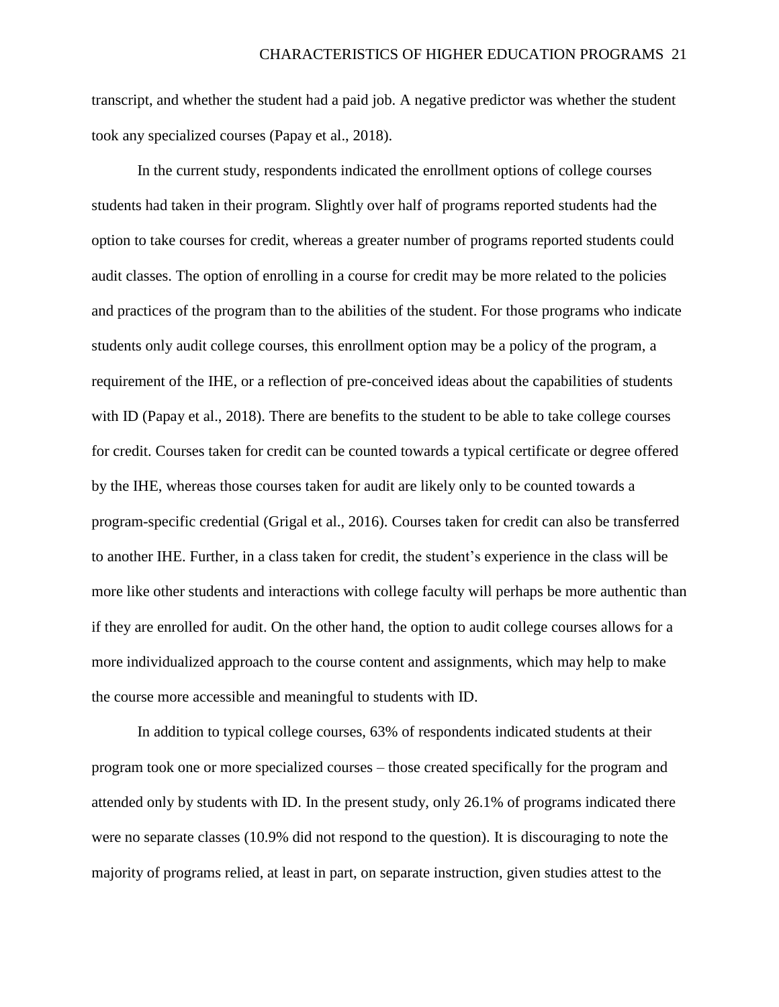transcript, and whether the student had a paid job. A negative predictor was whether the student took any specialized courses (Papay et al., 2018).

In the current study, respondents indicated the enrollment options of college courses students had taken in their program. Slightly over half of programs reported students had the option to take courses for credit, whereas a greater number of programs reported students could audit classes. The option of enrolling in a course for credit may be more related to the policies and practices of the program than to the abilities of the student. For those programs who indicate students only audit college courses, this enrollment option may be a policy of the program, a requirement of the IHE, or a reflection of pre-conceived ideas about the capabilities of students with ID (Papay et al., 2018). There are benefits to the student to be able to take college courses for credit. Courses taken for credit can be counted towards a typical certificate or degree offered by the IHE, whereas those courses taken for audit are likely only to be counted towards a program-specific credential (Grigal et al., 2016). Courses taken for credit can also be transferred to another IHE. Further, in a class taken for credit, the student's experience in the class will be more like other students and interactions with college faculty will perhaps be more authentic than if they are enrolled for audit. On the other hand, the option to audit college courses allows for a more individualized approach to the course content and assignments, which may help to make the course more accessible and meaningful to students with ID.

In addition to typical college courses, 63% of respondents indicated students at their program took one or more specialized courses – those created specifically for the program and attended only by students with ID. In the present study, only 26.1% of programs indicated there were no separate classes (10.9% did not respond to the question). It is discouraging to note the majority of programs relied, at least in part, on separate instruction, given studies attest to the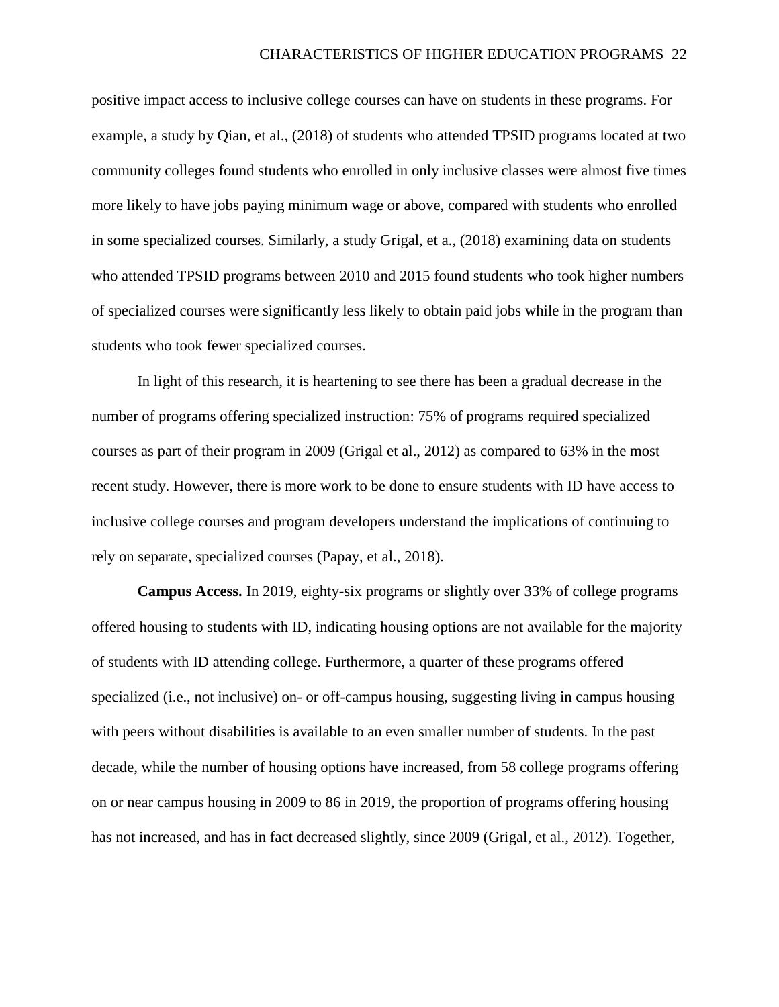positive impact access to inclusive college courses can have on students in these programs. For example, a study by Qian, et al., (2018) of students who attended TPSID programs located at two community colleges found students who enrolled in only inclusive classes were almost five times more likely to have jobs paying minimum wage or above, compared with students who enrolled in some specialized courses. Similarly, a study Grigal, et a., (2018) examining data on students who attended TPSID programs between 2010 and 2015 found students who took higher numbers of specialized courses were significantly less likely to obtain paid jobs while in the program than students who took fewer specialized courses.

In light of this research, it is heartening to see there has been a gradual decrease in the number of programs offering specialized instruction: 75% of programs required specialized courses as part of their program in 2009 (Grigal et al., 2012) as compared to 63% in the most recent study. However, there is more work to be done to ensure students with ID have access to inclusive college courses and program developers understand the implications of continuing to rely on separate, specialized courses (Papay, et al., 2018).

**Campus Access.** In 2019, eighty-six programs or slightly over 33% of college programs offered housing to students with ID, indicating housing options are not available for the majority of students with ID attending college. Furthermore, a quarter of these programs offered specialized (i.e., not inclusive) on- or off-campus housing, suggesting living in campus housing with peers without disabilities is available to an even smaller number of students. In the past decade, while the number of housing options have increased, from 58 college programs offering on or near campus housing in 2009 to 86 in 2019, the proportion of programs offering housing has not increased, and has in fact decreased slightly, since 2009 (Grigal, et al., 2012). Together,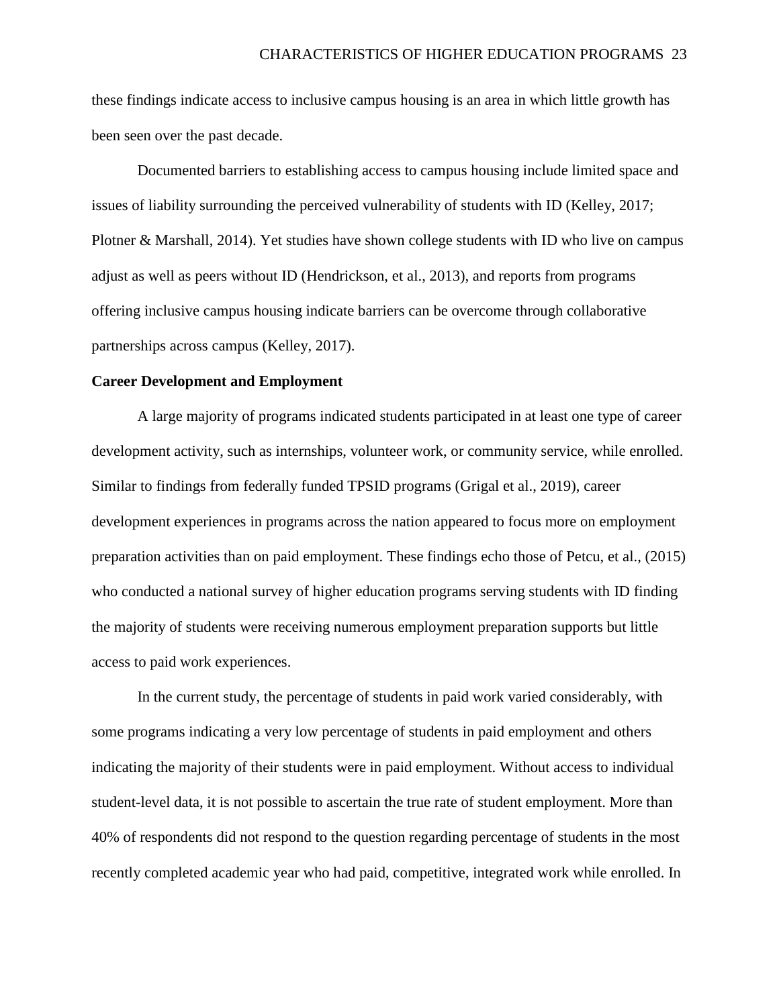these findings indicate access to inclusive campus housing is an area in which little growth has been seen over the past decade.

Documented barriers to establishing access to campus housing include limited space and issues of liability surrounding the perceived vulnerability of students with ID (Kelley, 2017; Plotner & Marshall, 2014). Yet studies have shown college students with ID who live on campus adjust as well as peers without ID (Hendrickson, et al., 2013), and reports from programs offering inclusive campus housing indicate barriers can be overcome through collaborative partnerships across campus (Kelley, 2017).

#### **Career Development and Employment**

A large majority of programs indicated students participated in at least one type of career development activity, such as internships, volunteer work, or community service, while enrolled. Similar to findings from federally funded TPSID programs (Grigal et al., 2019), career development experiences in programs across the nation appeared to focus more on employment preparation activities than on paid employment. These findings echo those of Petcu, et al., (2015) who conducted a national survey of higher education programs serving students with ID finding the majority of students were receiving numerous employment preparation supports but little access to paid work experiences.

In the current study, the percentage of students in paid work varied considerably, with some programs indicating a very low percentage of students in paid employment and others indicating the majority of their students were in paid employment. Without access to individual student-level data, it is not possible to ascertain the true rate of student employment. More than 40% of respondents did not respond to the question regarding percentage of students in the most recently completed academic year who had paid, competitive, integrated work while enrolled. In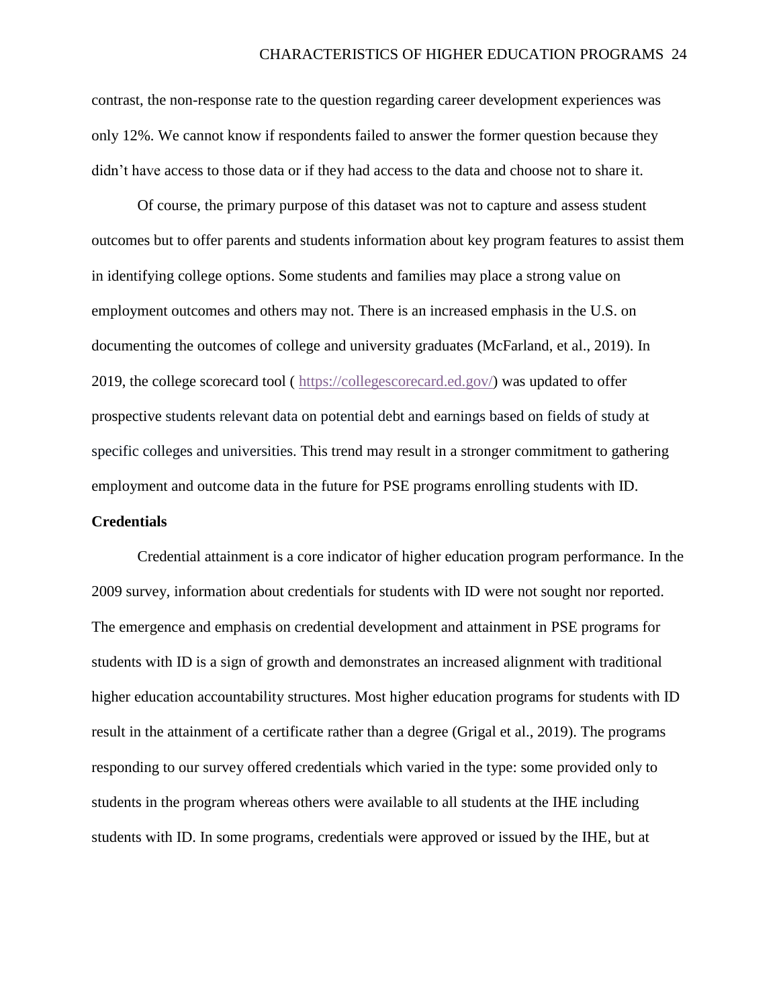contrast, the non-response rate to the question regarding career development experiences was only 12%. We cannot know if respondents failed to answer the former question because they didn't have access to those data or if they had access to the data and choose not to share it.

Of course, the primary purpose of this dataset was not to capture and assess student outcomes but to offer parents and students information about key program features to assist them in identifying college options. Some students and families may place a strong value on employment outcomes and others may not. There is an increased emphasis in the U.S. on documenting the outcomes of college and university graduates (McFarland, et al., 2019). In 2019, the college scorecard tool ( [https://collegescorecard.ed.gov/\)](https://collegescorecard.ed.gov/) was updated to offer prospective students relevant data on potential debt and earnings based on fields of study at specific colleges and universities. This trend may result in a stronger commitment to gathering employment and outcome data in the future for PSE programs enrolling students with ID.

### **Credentials**

Credential attainment is a core indicator of higher education program performance. In the 2009 survey, information about credentials for students with ID were not sought nor reported. The emergence and emphasis on credential development and attainment in PSE programs for students with ID is a sign of growth and demonstrates an increased alignment with traditional higher education accountability structures. Most higher education programs for students with ID result in the attainment of a certificate rather than a degree (Grigal et al., 2019). The programs responding to our survey offered credentials which varied in the type: some provided only to students in the program whereas others were available to all students at the IHE including students with ID. In some programs, credentials were approved or issued by the IHE, but at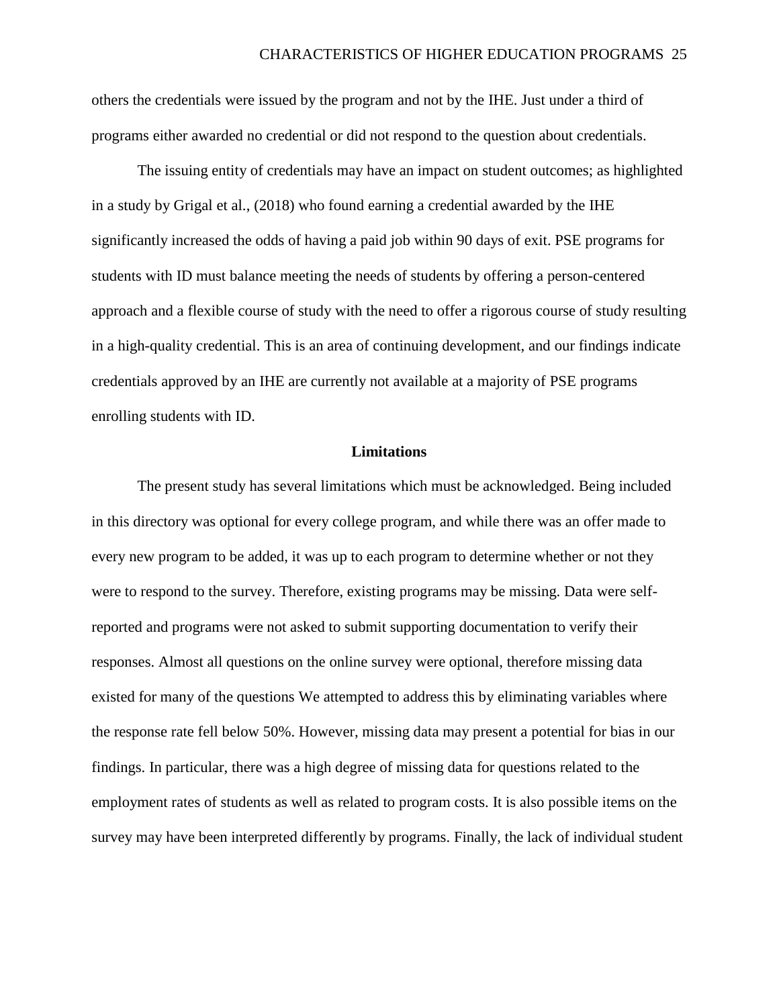others the credentials were issued by the program and not by the IHE. Just under a third of programs either awarded no credential or did not respond to the question about credentials.

The issuing entity of credentials may have an impact on student outcomes; as highlighted in a study by Grigal et al., (2018) who found earning a credential awarded by the IHE significantly increased the odds of having a paid job within 90 days of exit. PSE programs for students with ID must balance meeting the needs of students by offering a person-centered approach and a flexible course of study with the need to offer a rigorous course of study resulting in a high-quality credential. This is an area of continuing development, and our findings indicate credentials approved by an IHE are currently not available at a majority of PSE programs enrolling students with ID.

#### **Limitations**

The present study has several limitations which must be acknowledged. Being included in this directory was optional for every college program, and while there was an offer made to every new program to be added, it was up to each program to determine whether or not they were to respond to the survey. Therefore, existing programs may be missing. Data were selfreported and programs were not asked to submit supporting documentation to verify their responses. Almost all questions on the online survey were optional, therefore missing data existed for many of the questions We attempted to address this by eliminating variables where the response rate fell below 50%. However, missing data may present a potential for bias in our findings. In particular, there was a high degree of missing data for questions related to the employment rates of students as well as related to program costs. It is also possible items on the survey may have been interpreted differently by programs. Finally, the lack of individual student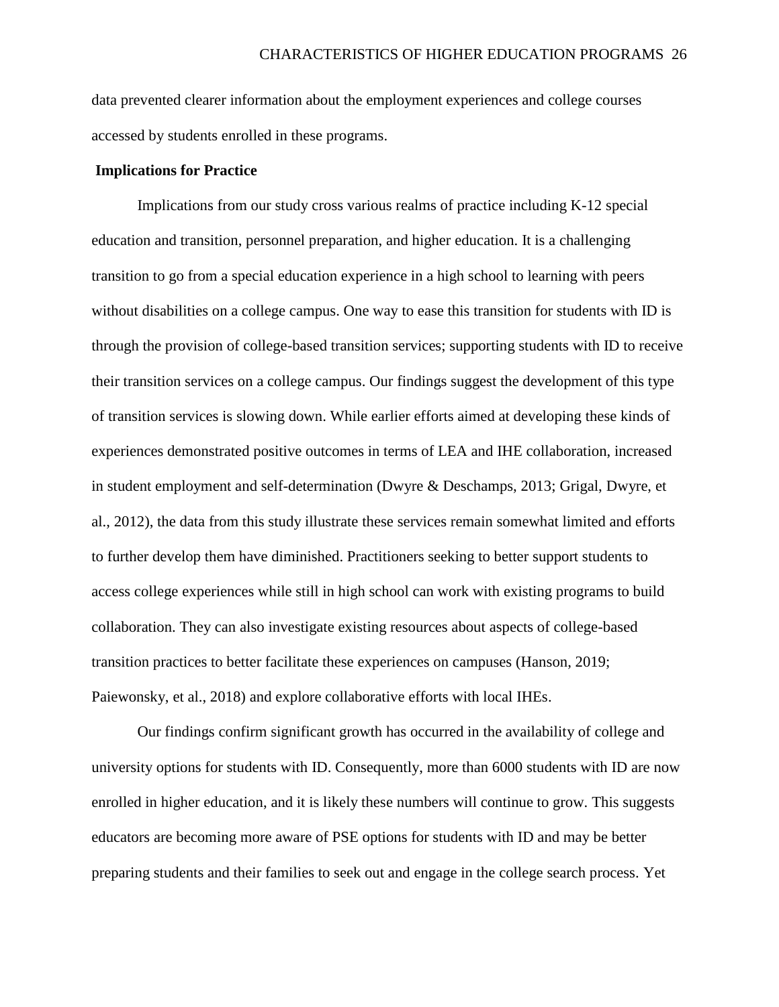data prevented clearer information about the employment experiences and college courses accessed by students enrolled in these programs.

### **Implications for Practice**

Implications from our study cross various realms of practice including K-12 special education and transition, personnel preparation, and higher education. It is a challenging transition to go from a special education experience in a high school to learning with peers without disabilities on a college campus. One way to ease this transition for students with ID is through the provision of college-based transition services; supporting students with ID to receive their transition services on a college campus. Our findings suggest the development of this type of transition services is slowing down. While earlier efforts aimed at developing these kinds of experiences demonstrated positive outcomes in terms of LEA and IHE collaboration, increased in student employment and self-determination (Dwyre & Deschamps, 2013; Grigal, Dwyre, et al., 2012), the data from this study illustrate these services remain somewhat limited and efforts to further develop them have diminished. Practitioners seeking to better support students to access college experiences while still in high school can work with existing programs to build collaboration. They can also investigate existing resources about aspects of college-based transition practices to better facilitate these experiences on campuses (Hanson, 2019; Paiewonsky, et al., 2018) and explore collaborative efforts with local IHEs.

Our findings confirm significant growth has occurred in the availability of college and university options for students with ID. Consequently, more than 6000 students with ID are now enrolled in higher education, and it is likely these numbers will continue to grow. This suggests educators are becoming more aware of PSE options for students with ID and may be better preparing students and their families to seek out and engage in the college search process. Yet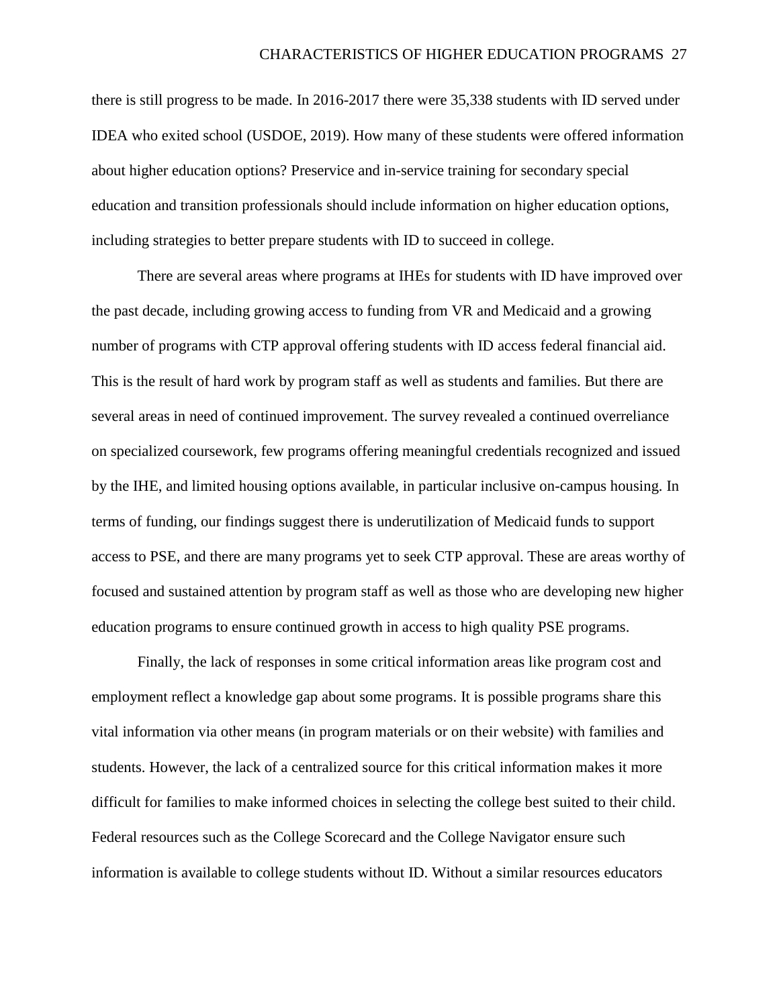there is still progress to be made. In 2016-2017 there were 35,338 students with ID served under IDEA who exited school (USDOE, 2019). How many of these students were offered information about higher education options? Preservice and in-service training for secondary special education and transition professionals should include information on higher education options, including strategies to better prepare students with ID to succeed in college.

There are several areas where programs at IHEs for students with ID have improved over the past decade, including growing access to funding from VR and Medicaid and a growing number of programs with CTP approval offering students with ID access federal financial aid. This is the result of hard work by program staff as well as students and families. But there are several areas in need of continued improvement. The survey revealed a continued overreliance on specialized coursework, few programs offering meaningful credentials recognized and issued by the IHE, and limited housing options available, in particular inclusive on-campus housing. In terms of funding, our findings suggest there is underutilization of Medicaid funds to support access to PSE, and there are many programs yet to seek CTP approval. These are areas worthy of focused and sustained attention by program staff as well as those who are developing new higher education programs to ensure continued growth in access to high quality PSE programs.

Finally, the lack of responses in some critical information areas like program cost and employment reflect a knowledge gap about some programs. It is possible programs share this vital information via other means (in program materials or on their website) with families and students. However, the lack of a centralized source for this critical information makes it more difficult for families to make informed choices in selecting the college best suited to their child. Federal resources such as the College Scorecard and the College Navigator ensure such information is available to college students without ID. Without a similar resources educators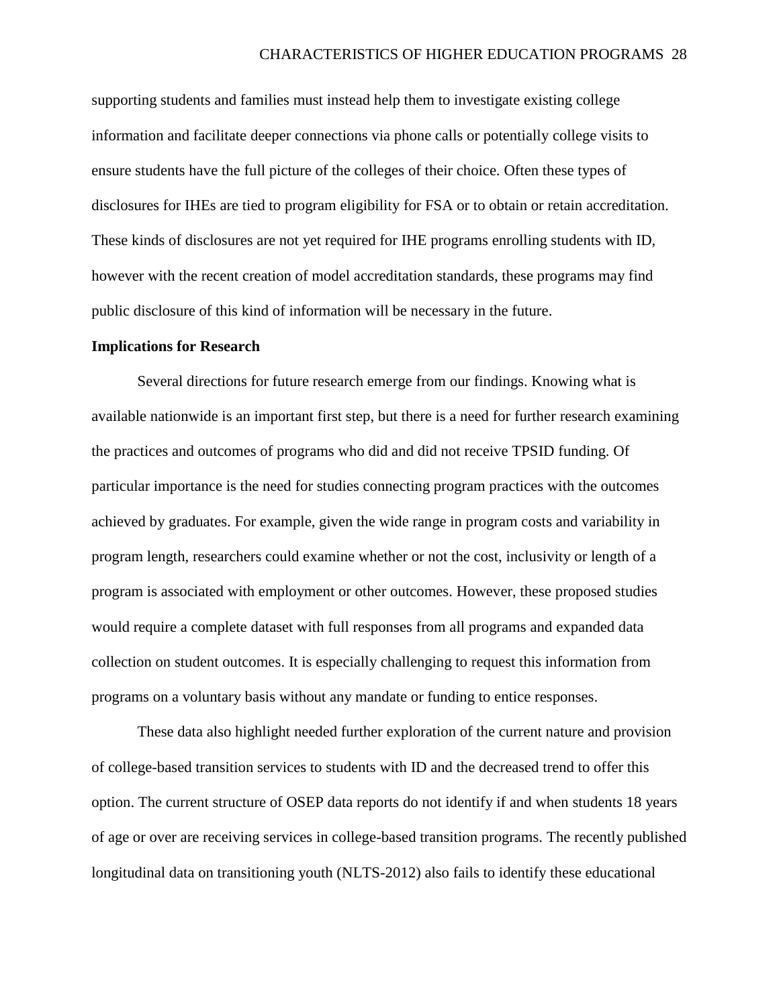supporting students and families must instead help them to investigate existing college information and facilitate deeper connections via phone calls or potentially college visits to ensure students have the full picture of the colleges of their choice. Often these types of disclosures for IHEs are tied to program eligibility for FSA or to obtain or retain accreditation. These kinds of disclosures are not yet required for IHE programs enrolling students with ID, however with the recent creation of model accreditation standards, these programs may find public disclosure of this kind of information will be necessary in the future.

#### **Implications for Research**

Several directions for future research emerge from our findings. Knowing what is available nationwide is an important first step, but there is a need for further research examining the practices and outcomes of programs who did and did not receive TPSID funding. Of particular importance is the need for studies connecting program practices with the outcomes achieved by graduates. For example, given the wide range in program costs and variability in program length, researchers could examine whether or not the cost, inclusivity or length of a program is associated with employment or other outcomes. However, these proposed studies would require a complete dataset with full responses from all programs and expanded data collection on student outcomes. It is especially challenging to request this information from programs on a voluntary basis without any mandate or funding to entice responses.

These data also highlight needed further exploration of the current nature and provision of college-based transition services to students with ID and the decreased trend to offer this option. The current structure of OSEP data reports do not identify if and when students 18 years of age or over are receiving services in college-based transition programs. The recently published longitudinal data on transitioning youth (NLTS-2012) also fails to identify these educational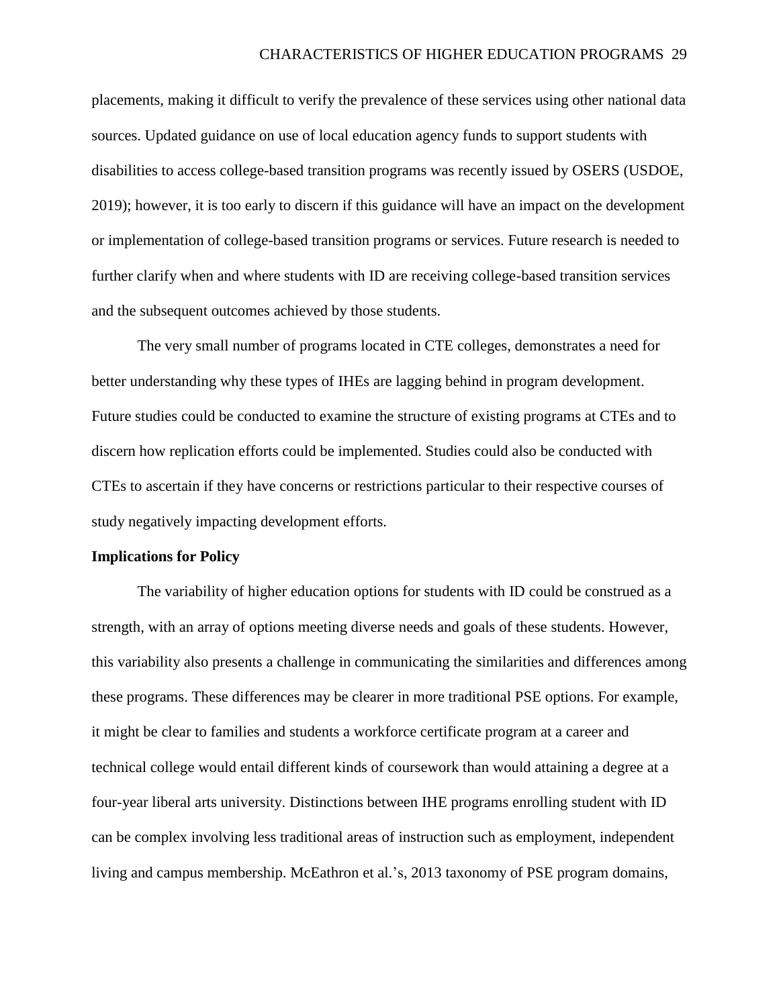placements, making it difficult to verify the prevalence of these services using other national data sources. Updated guidance on use of local education agency funds to support students with disabilities to access college-based transition programs was recently issued by OSERS (USDOE, 2019); however, it is too early to discern if this guidance will have an impact on the development or implementation of college-based transition programs or services. Future research is needed to further clarify when and where students with ID are receiving college-based transition services and the subsequent outcomes achieved by those students.

The very small number of programs located in CTE colleges, demonstrates a need for better understanding why these types of IHEs are lagging behind in program development. Future studies could be conducted to examine the structure of existing programs at CTEs and to discern how replication efforts could be implemented. Studies could also be conducted with CTEs to ascertain if they have concerns or restrictions particular to their respective courses of study negatively impacting development efforts.

#### **Implications for Policy**

The variability of higher education options for students with ID could be construed as a strength, with an array of options meeting diverse needs and goals of these students. However, this variability also presents a challenge in communicating the similarities and differences among these programs. These differences may be clearer in more traditional PSE options. For example, it might be clear to families and students a workforce certificate program at a career and technical college would entail different kinds of coursework than would attaining a degree at a four-year liberal arts university. Distinctions between IHE programs enrolling student with ID can be complex involving less traditional areas of instruction such as employment, independent living and campus membership. McEathron et al.'s, 2013 taxonomy of PSE program domains,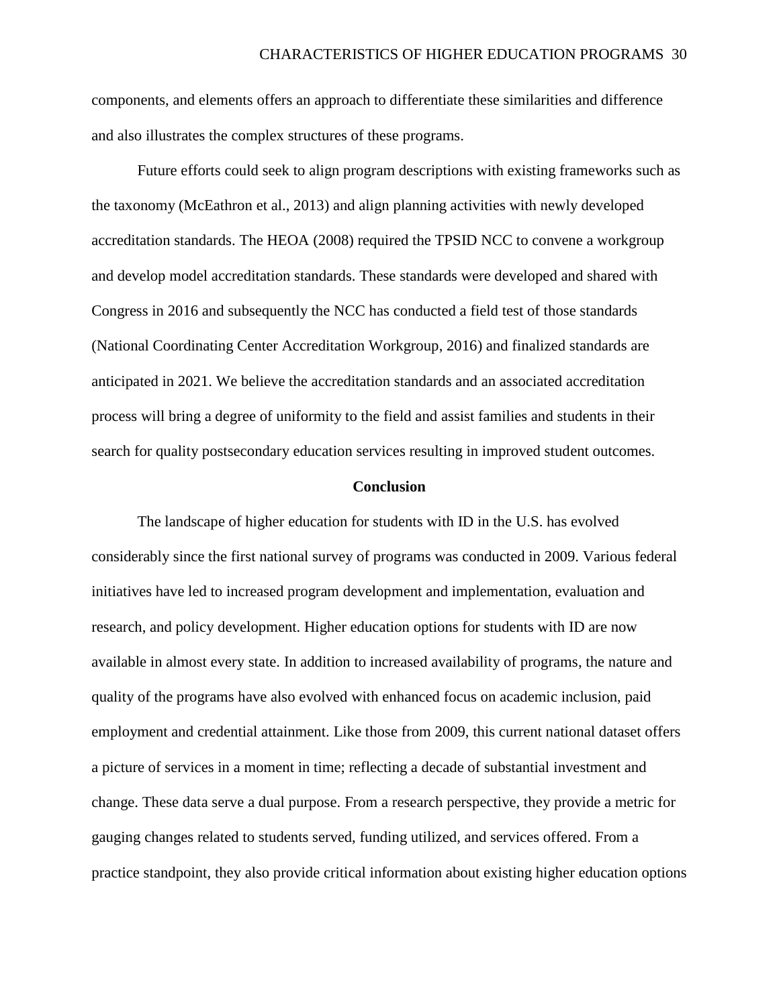components, and elements offers an approach to differentiate these similarities and difference and also illustrates the complex structures of these programs.

Future efforts could seek to align program descriptions with existing frameworks such as the taxonomy (McEathron et al., 2013) and align planning activities with newly developed accreditation standards. The HEOA (2008) required the TPSID NCC to convene a workgroup and develop model accreditation standards. These standards were developed and shared with Congress in 2016 and subsequently the NCC has conducted a field test of those standards (National Coordinating Center Accreditation Workgroup, 2016) and finalized standards are anticipated in 2021. We believe the accreditation standards and an associated accreditation process will bring a degree of uniformity to the field and assist families and students in their search for quality postsecondary education services resulting in improved student outcomes.

#### **Conclusion**

The landscape of higher education for students with ID in the U.S. has evolved considerably since the first national survey of programs was conducted in 2009. Various federal initiatives have led to increased program development and implementation, evaluation and research, and policy development. Higher education options for students with ID are now available in almost every state. In addition to increased availability of programs, the nature and quality of the programs have also evolved with enhanced focus on academic inclusion, paid employment and credential attainment. Like those from 2009, this current national dataset offers a picture of services in a moment in time; reflecting a decade of substantial investment and change. These data serve a dual purpose. From a research perspective, they provide a metric for gauging changes related to students served, funding utilized, and services offered. From a practice standpoint, they also provide critical information about existing higher education options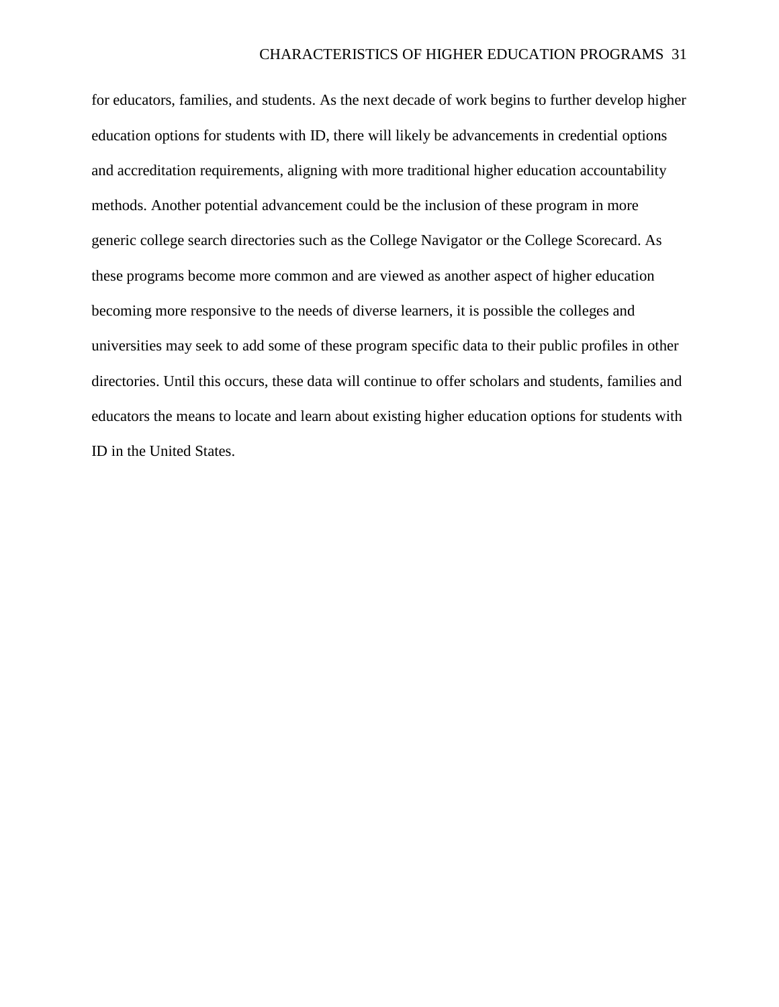for educators, families, and students. As the next decade of work begins to further develop higher education options for students with ID, there will likely be advancements in credential options and accreditation requirements, aligning with more traditional higher education accountability methods. Another potential advancement could be the inclusion of these program in more generic college search directories such as the College Navigator or the College Scorecard. As these programs become more common and are viewed as another aspect of higher education becoming more responsive to the needs of diverse learners, it is possible the colleges and universities may seek to add some of these program specific data to their public profiles in other directories. Until this occurs, these data will continue to offer scholars and students, families and educators the means to locate and learn about existing higher education options for students with ID in the United States.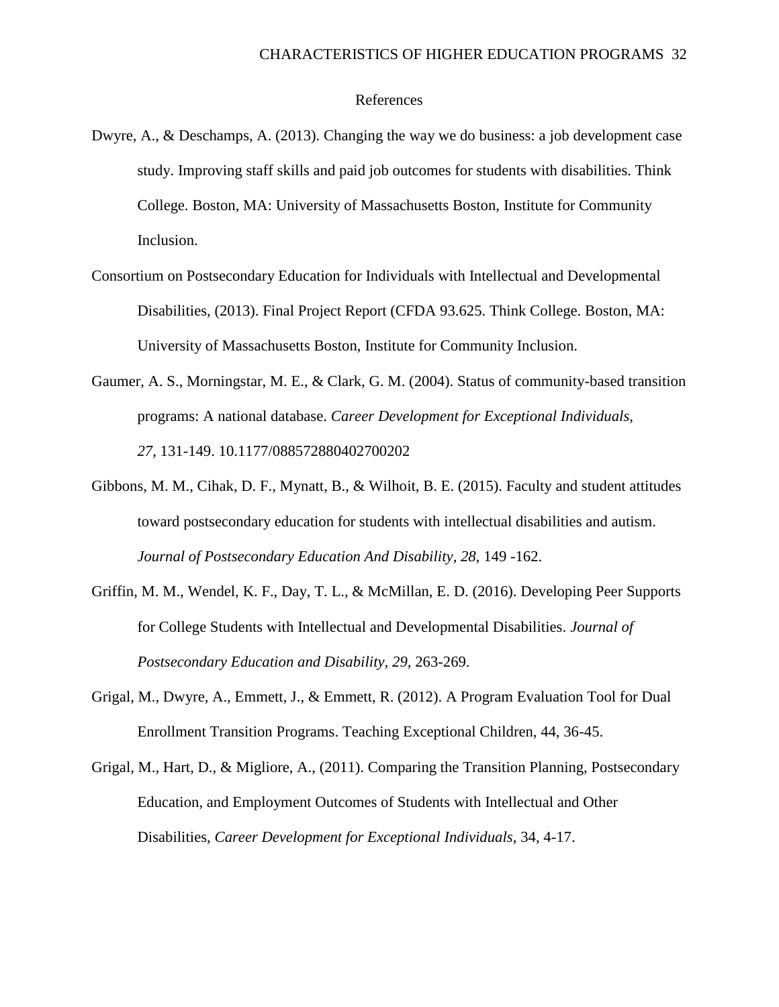#### References

- Dwyre, A., & Deschamps, A. (2013). Changing the way we do business: a job development case study. Improving staff skills and paid job outcomes for students with disabilities. Think College. Boston, MA: University of Massachusetts Boston, Institute for Community Inclusion.
- Consortium on Postsecondary Education for Individuals with Intellectual and Developmental Disabilities, (2013). Final Project Report (CFDA 93.625. Think College. Boston, MA: University of Massachusetts Boston, Institute for Community Inclusion.
- Gaumer, A. S., Morningstar, M. E., & Clark, G. M. (2004). Status of community-based transition programs: A national database. *Career Development for Exceptional Individuals, 27*, 131-149. 10.1177/088572880402700202
- Gibbons, M. M., Cihak, D. F., Mynatt, B., & Wilhoit, B. E. (2015). Faculty and student attitudes toward postsecondary education for students with intellectual disabilities and autism. *Journal of Postsecondary Education And Disability, 28*, 149 -162.
- Griffin, M. M., Wendel, K. F., Day, T. L., & McMillan, E. D. (2016). Developing Peer Supports for College Students with Intellectual and Developmental Disabilities. *Journal of Postsecondary Education and Disability, 29*, 263-269.
- Grigal, M., Dwyre, A., Emmett, J., & Emmett, R. (2012). A Program Evaluation Tool for Dual Enrollment Transition Programs. Teaching Exceptional Children, 44, 36-45.
- Grigal, M., Hart, D., & Migliore, A., (2011). Comparing the Transition Planning, Postsecondary Education, and Employment Outcomes of Students with Intellectual and Other Disabilities, *Career Development for Exceptional Individuals*, 34, 4-17.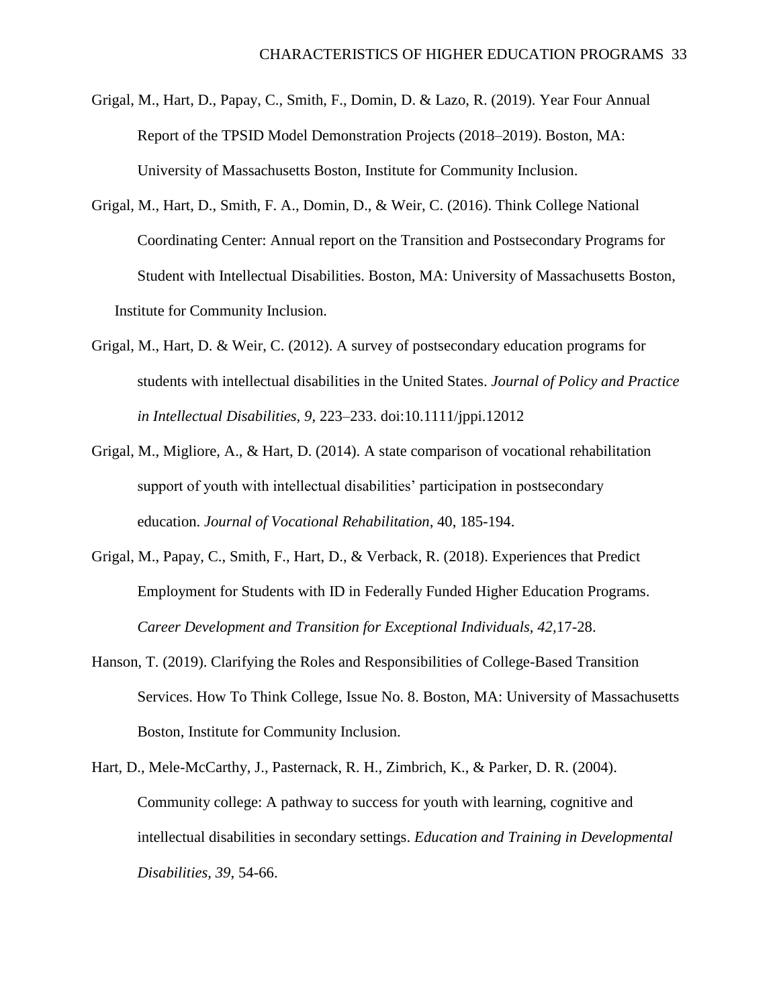- Grigal, M., Hart, D., Papay, C., Smith, F., Domin, D. & Lazo, R. (2019). Year Four Annual Report of the TPSID Model Demonstration Projects (2018–2019). Boston, MA: University of Massachusetts Boston, Institute for Community Inclusion.
- Grigal, M., Hart, D., Smith, F. A., Domin, D., & Weir, C. (2016). Think College National Coordinating Center: Annual report on the Transition and Postsecondary Programs for Student with Intellectual Disabilities. Boston, MA: University of Massachusetts Boston, Institute for Community Inclusion.
- Grigal, M., Hart, D. & Weir, C. (2012). A survey of postsecondary education programs for students with intellectual disabilities in the United States. *Journal of Policy and Practice in Intellectual Disabilities, 9*, 223–233. doi:10.1111/jppi.12012
- Grigal, M., Migliore, A., & Hart, D. (2014). A state comparison of vocational rehabilitation support of youth with intellectual disabilities' participation in postsecondary education. *Journal of Vocational Rehabilitation,* 40, 185-194.
- Grigal, M., Papay, C., Smith, F., Hart, D., & Verback, R. (2018). Experiences that Predict Employment for Students with ID in Federally Funded Higher Education Programs. *Career Development and Transition for Exceptional Individuals, 42,*17-28.
- Hanson, T. (2019). Clarifying the Roles and Responsibilities of College-Based Transition Services. How To Think College, Issue No. 8. Boston, MA: University of Massachusetts Boston, Institute for Community Inclusion.
- Hart, D., Mele-McCarthy, J., Pasternack, R. H., Zimbrich, K., & Parker, D. R. (2004). Community college: A pathway to success for youth with learning, cognitive and intellectual disabilities in secondary settings. *Education and Training in Developmental Disabilities, 39*, 54-66.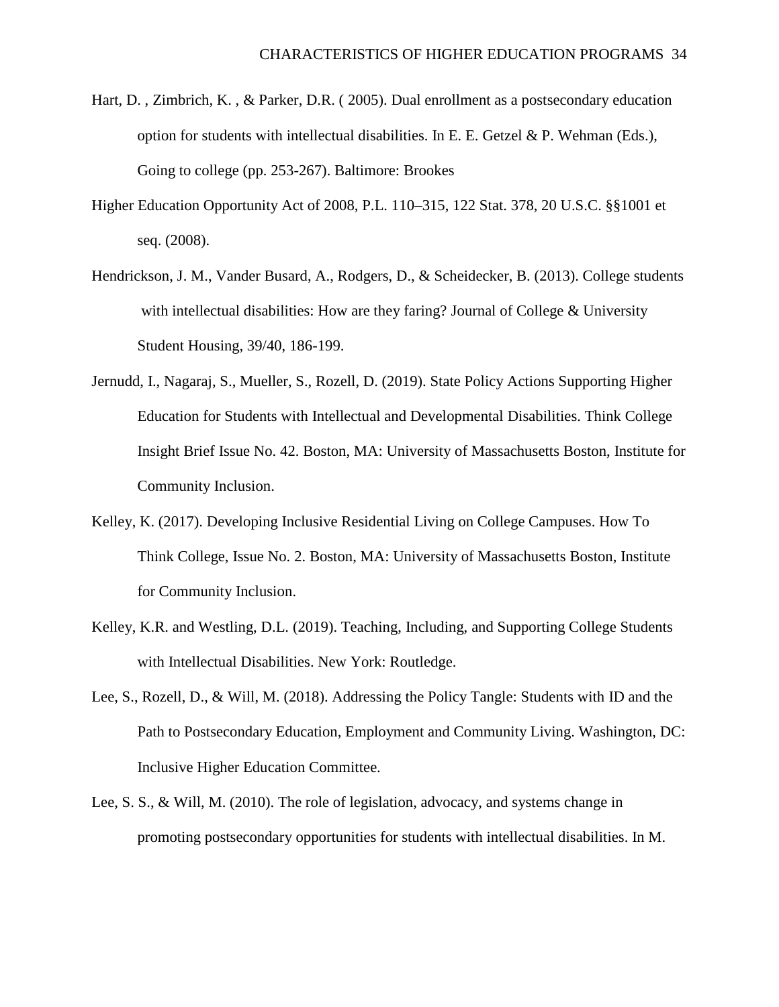- Hart, D. , Zimbrich, K. , & Parker, D.R. ( 2005). Dual enrollment as a postsecondary education option for students with intellectual disabilities. In E. E. Getzel  $\&$  P. Wehman (Eds.), Going to college (pp. 253-267). Baltimore: Brookes
- Higher Education Opportunity Act of 2008, P.L. 110–315, 122 Stat. 378, 20 U.S.C. §§1001 et seq. (2008).
- Hendrickson, J. M., Vander Busard, A., Rodgers, D., & Scheidecker, B. (2013). College students with intellectual disabilities: How are they faring? Journal of College & University Student Housing, 39/40, 186-199.
- Jernudd, I., Nagaraj, S., Mueller, S., Rozell, D. (2019). State Policy Actions Supporting Higher Education for Students with Intellectual and Developmental Disabilities. Think College Insight Brief Issue No. 42. Boston, MA: University of Massachusetts Boston, Institute for Community Inclusion.
- Kelley, K. (2017). Developing Inclusive Residential Living on College Campuses. How To Think College, Issue No. 2. Boston, MA: University of Massachusetts Boston, Institute for Community Inclusion.
- Kelley, K.R. and Westling, D.L. (2019). Teaching, Including, and Supporting College Students with Intellectual Disabilities. New York: Routledge.
- Lee, S., Rozell, D., & Will, M. (2018). Addressing the Policy Tangle: Students with ID and the Path to Postsecondary Education, Employment and Community Living. Washington, DC: Inclusive Higher Education Committee.
- Lee, S. S., & Will, M. (2010). The role of legislation, advocacy, and systems change in promoting postsecondary opportunities for students with intellectual disabilities. In M.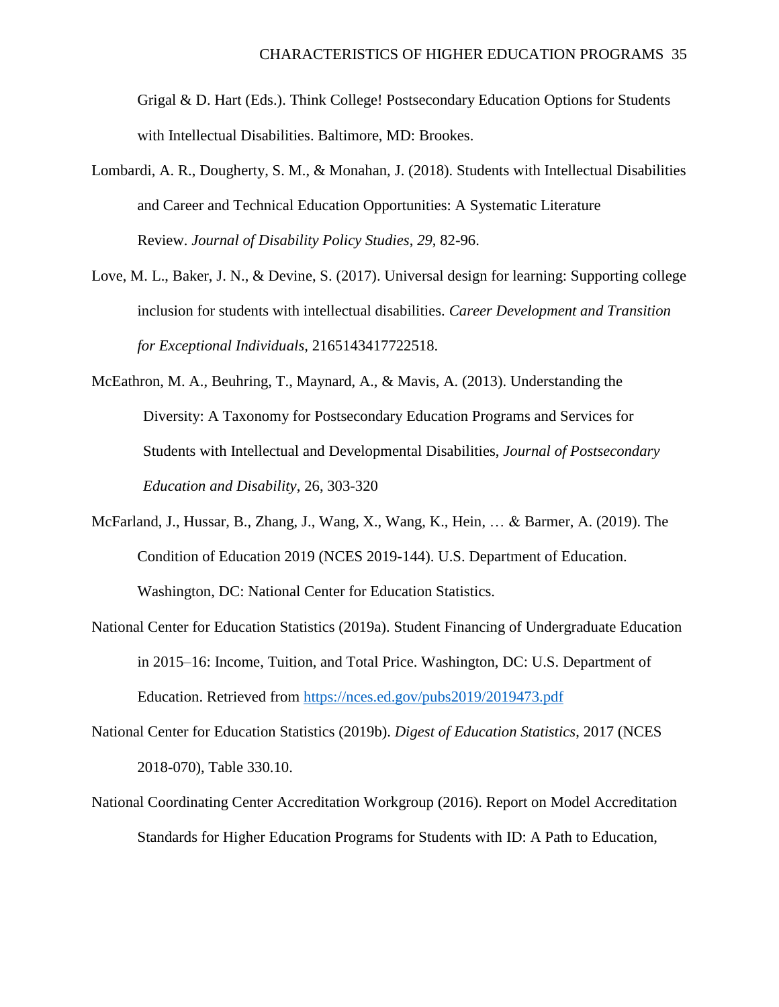Grigal & D. Hart (Eds.). Think College! Postsecondary Education Options for Students with Intellectual Disabilities. Baltimore, MD: Brookes.

- Lombardi, A. R., Dougherty, S. M., & Monahan, J. (2018). Students with Intellectual Disabilities and Career and Technical Education Opportunities: A Systematic Literature Review. *Journal of Disability Policy Studies*, *29*, 82-96.
- Love, M. L., Baker, J. N., & Devine, S. (2017). Universal design for learning: Supporting college inclusion for students with intellectual disabilities. *Career Development and Transition for Exceptional Individuals,* 2165143417722518.
- McEathron, M. A., Beuhring, T., Maynard, A., & Mavis, A. (2013). Understanding the Diversity: A Taxonomy for Postsecondary Education Programs and Services for Students with Intellectual and Developmental Disabilities, *Journal of Postsecondary Education and Disability*, 26, 303-320
- McFarland, J., Hussar, B., Zhang, J., Wang, X., Wang, K., Hein, … & Barmer, A. (2019). The Condition of Education 2019 (NCES 2019-144). U.S. Department of Education. Washington, DC: National Center for Education Statistics.
- National Center for Education Statistics (2019a). Student Financing of Undergraduate Education in 2015–16: Income, Tuition, and Total Price. Washington, DC: U.S. Department of Education. Retrieved from<https://nces.ed.gov/pubs2019/2019473.pdf>
- National Center for Education Statistics (2019b). *Digest of Education Statistics*, 2017 (NCES 2018-070), [Table 330.10.](https://nces.ed.gov/programs/digest/d17/tables/dt17_330.10.asp)
- National Coordinating Center Accreditation Workgroup (2016). Report on Model Accreditation Standards for Higher Education Programs for Students with ID: A Path to Education,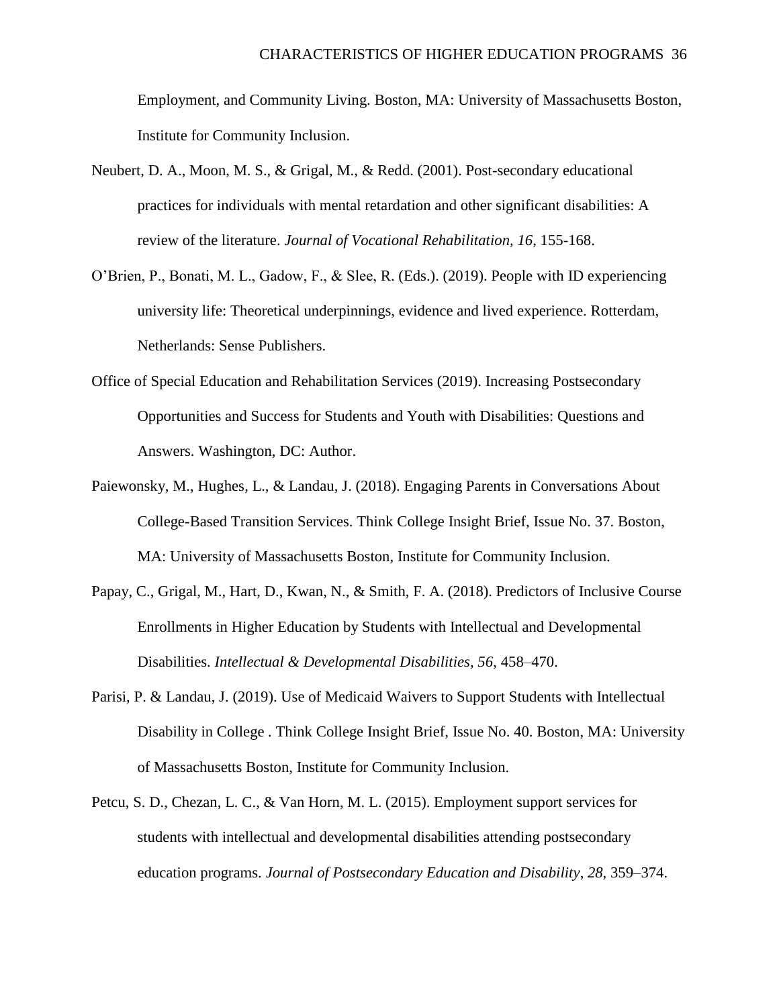Employment, and Community Living. Boston, MA: University of Massachusetts Boston, Institute for Community Inclusion.

- Neubert, D. A., Moon, M. S., & Grigal, M., & Redd. (2001). Post-secondary educational practices for individuals with mental retardation and other significant disabilities: A review of the literature. *Journal of Vocational Rehabilitation, 16*, 155-168.
- O'Brien, P., Bonati, M. L., Gadow, F., & Slee, R. (Eds.). (2019). People with ID experiencing university life: Theoretical underpinnings, evidence and lived experience. Rotterdam, Netherlands: Sense Publishers.
- Office of Special Education and Rehabilitation Services (2019). Increasing Postsecondary Opportunities and Success for Students and Youth with Disabilities: Questions and Answers. Washington, DC: Author.
- Paiewonsky, M., Hughes, L., & Landau, J. (2018). Engaging Parents in Conversations About College-Based Transition Services. Think College Insight Brief, Issue No. 37. Boston, MA: University of Massachusetts Boston, Institute for Community Inclusion.
- Papay, C., Grigal, M., Hart, D., Kwan, N., & Smith, F. A. (2018). Predictors of Inclusive Course Enrollments in Higher Education by Students with Intellectual and Developmental Disabilities. *Intellectual & Developmental Disabilities, 56*, 458–470.
- Parisi, P. & Landau, J. (2019). Use of Medicaid Waivers to Support Students with Intellectual Disability in College . Think College Insight Brief, Issue No. 40. Boston, MA: University of Massachusetts Boston, Institute for Community Inclusion.
- Petcu, S. D., Chezan, L. C., & Van Horn, M. L. (2015). Employment support services for students with intellectual and developmental disabilities attending postsecondary education programs. *Journal of Postsecondary Education and Disability*, *28*, 359–374.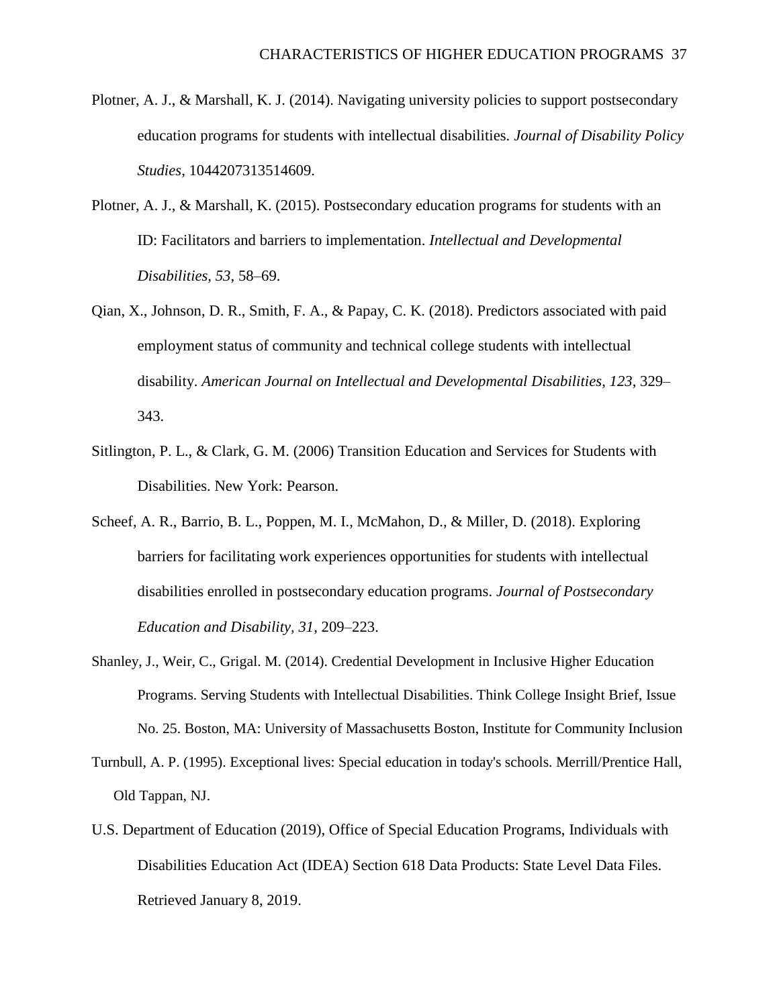- Plotner, A. J., & Marshall, K. J. (2014). Navigating university policies to support postsecondary education programs for students with intellectual disabilities. *Journal of Disability Policy Studies*, 1044207313514609.
- Plotner, A. J., & Marshall, K. (2015). Postsecondary education programs for students with an ID: Facilitators and barriers to implementation. *Intellectual and Developmental Disabilities, 53*, 58–69.
- Qian, X., Johnson, D. R., Smith, F. A., & Papay, C. K. (2018). Predictors associated with paid employment status of community and technical college students with intellectual disability. *American Journal on Intellectual and Developmental Disabilities*, *123*, 329– 343.
- Sitlington, P. L., & Clark, G. M. (2006) Transition Education and Services for Students with Disabilities. New York: Pearson.
- Scheef, A. R., Barrio, B. L., Poppen, M. I., McMahon, D., & Miller, D. (2018). Exploring barriers for facilitating work experiences opportunities for students with intellectual disabilities enrolled in postsecondary education programs. *Journal of Postsecondary Education and Disability, 31*, 209–223.
- Shanley, J., Weir, C., Grigal. M. (2014). Credential Development in Inclusive Higher Education Programs. Serving Students with Intellectual Disabilities. Think College Insight Brief, Issue No. 25. Boston, MA: University of Massachusetts Boston, Institute for Community Inclusion
- Turnbull, A. P. (1995). Exceptional lives: Special education in today's schools. Merrill/Prentice Hall, Old Tappan, NJ.
- U.S. Department of Education (2019), Office of Special Education Programs, Individuals with Disabilities Education Act (IDEA) Section 618 Data Products: State Level Data Files. Retrieved January 8, 2019.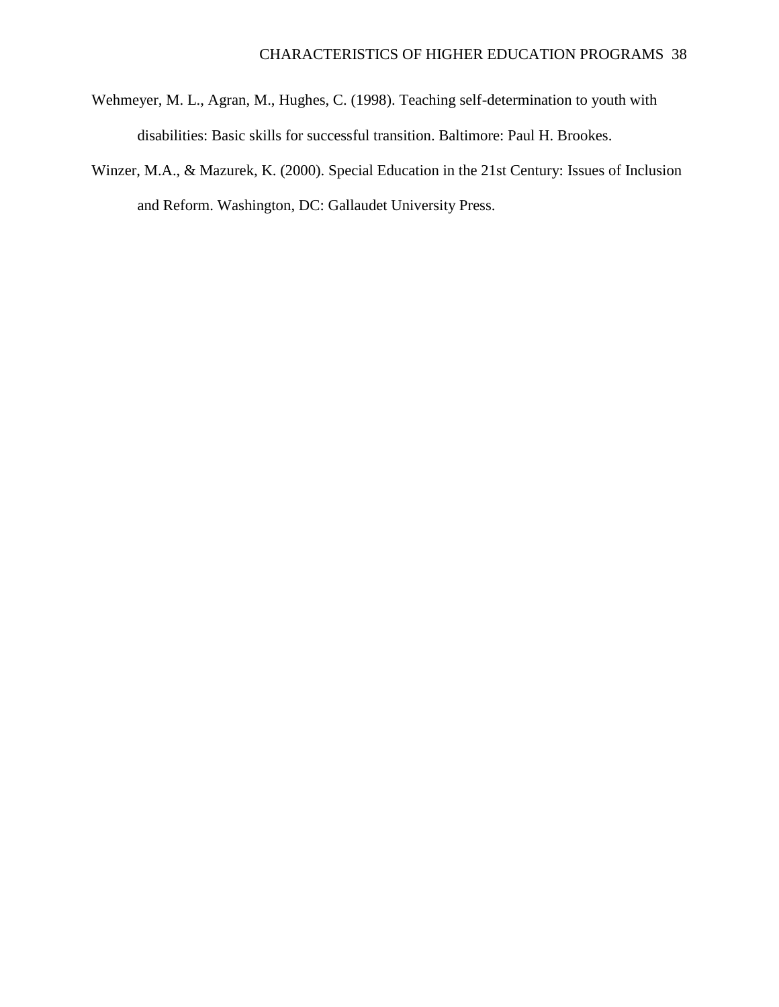- Wehmeyer, M. L., Agran, M., Hughes, C. (1998). Teaching self-determination to youth with disabilities: Basic skills for successful transition. Baltimore: Paul H. Brookes.
- Winzer, M.A., & Mazurek, K. (2000). Special Education in the 21st Century: Issues of Inclusion and Reform. Washington, DC: Gallaudet University Press.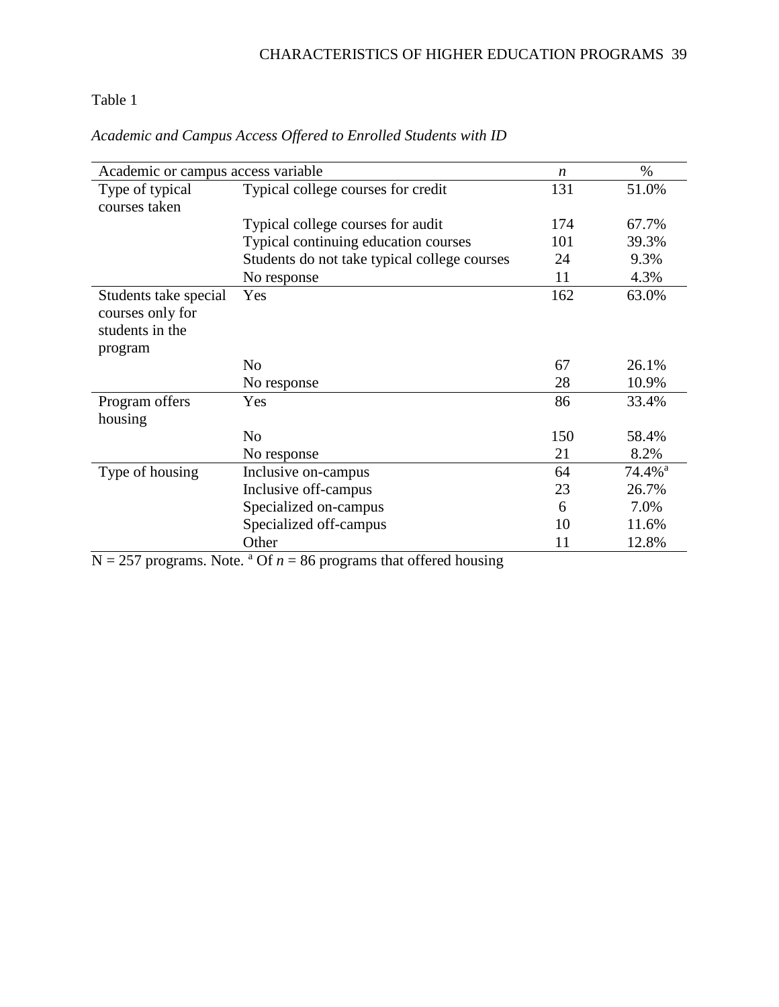# Table 1

| Academic or campus access variable                           |                                              | $\boldsymbol{n}$ | $\%$                  |
|--------------------------------------------------------------|----------------------------------------------|------------------|-----------------------|
| Type of typical<br>courses taken                             | Typical college courses for credit           | 131              | 51.0%                 |
|                                                              | Typical college courses for audit            | 174              | 67.7%                 |
|                                                              | Typical continuing education courses         | 101              | 39.3%                 |
|                                                              | Students do not take typical college courses | 24               | 9.3%                  |
|                                                              | No response                                  | 11               | 4.3%                  |
| Students take special<br>courses only for<br>students in the | Yes                                          | 162              | 63.0%                 |
| program                                                      | N <sub>o</sub>                               | 67               | 26.1%                 |
|                                                              | No response                                  | 28               | 10.9%                 |
| Program offers<br>housing                                    | Yes                                          | 86               | 33.4%                 |
|                                                              | N <sub>o</sub>                               | 150              | 58.4%                 |
|                                                              | No response                                  | 21               | 8.2%                  |
| Type of housing                                              | Inclusive on-campus                          | 64               | $74.4\%$ <sup>a</sup> |
|                                                              | Inclusive off-campus                         | 23               | 26.7%                 |
|                                                              | Specialized on-campus                        | 6                | 7.0%                  |
|                                                              | Specialized off-campus                       | 10               | 11.6%                 |
|                                                              | Other                                        | 11               | 12.8%                 |

*Academic and Campus Access Offered to Enrolled Students with ID*

 $N = 257$  programs. Note. <sup>a</sup> Of  $n = 86$  programs that offered housing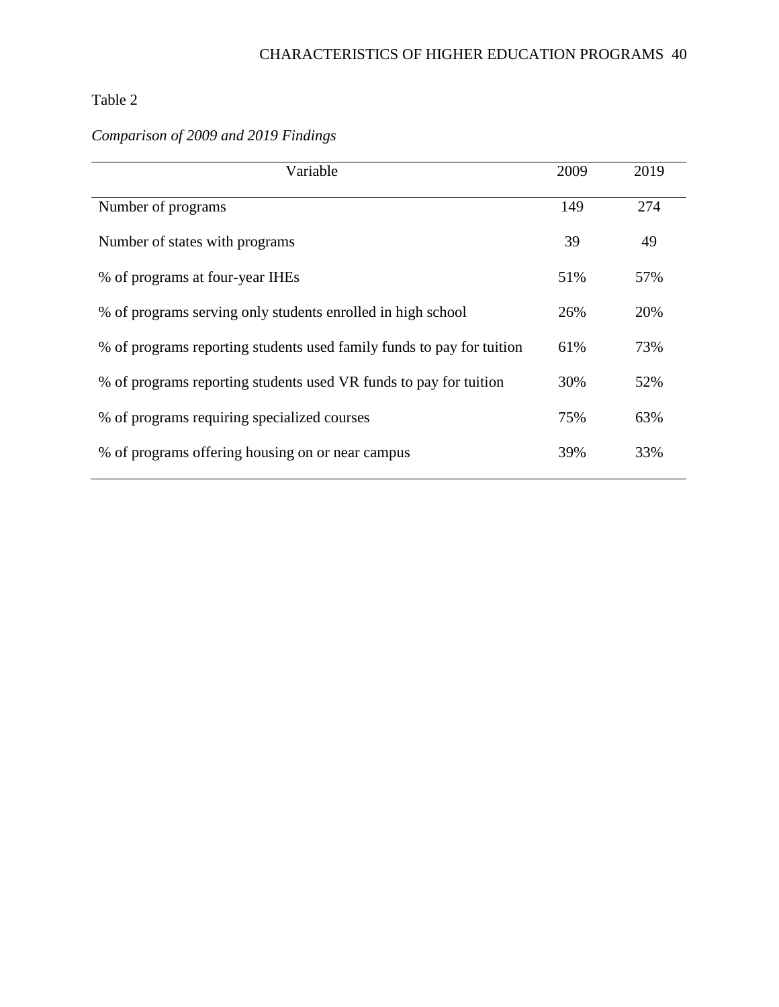# Table 2

# *Comparison of 2009 and 2019 Findings*

| Variable                                                              |     | 2019 |
|-----------------------------------------------------------------------|-----|------|
| Number of programs                                                    | 149 | 274  |
| Number of states with programs                                        | 39  | 49   |
| % of programs at four-year IHEs                                       | 51% | 57%  |
| % of programs serving only students enrolled in high school           | 26% | 20%  |
| % of programs reporting students used family funds to pay for tuition | 61% | 73%  |
| % of programs reporting students used VR funds to pay for tuition     |     | 52%  |
| % of programs requiring specialized courses                           | 75% | 63%  |
| % of programs offering housing on or near campus                      |     | 33%  |